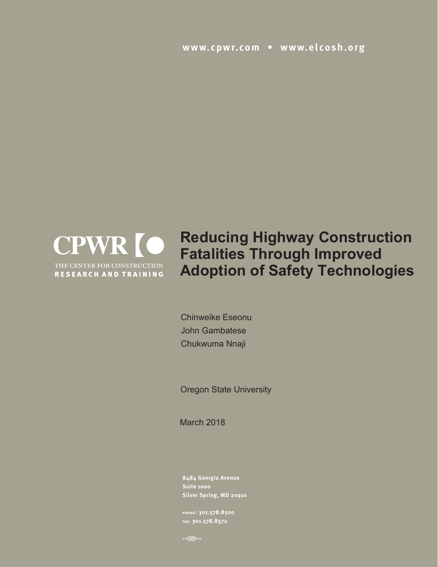**www.cpwr.com • www.elcosh.org**



**Reducing Highway Construction Fatalities Through Improved Adoption of Safety Technologies**

Chinweike Eseonu John Gambatese Chukwuma Nnaji

Oregon State University

March 2018

**8484 Georgia Avenue Suite 1000 Silver Spring, MD 20910**

**phone: 301.578.8500 fax: 301.578.8572**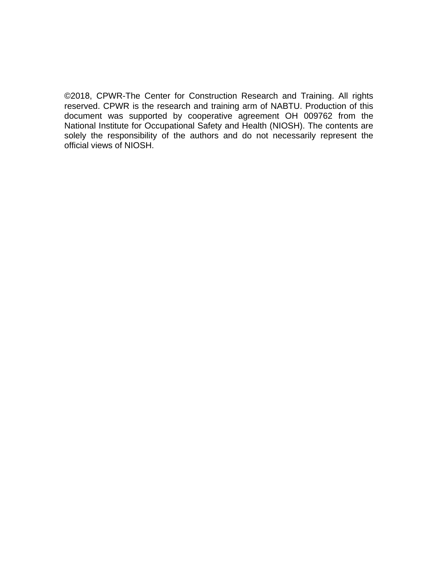©2018, CPWR-The Center for Construction Research and Training. All rights reserved. CPWR is the research and training arm of NABTU. Production of this document was supported by cooperative agreement OH 009762 from the National Institute for Occupational Safety and Health (NIOSH). The contents are solely the responsibility of the authors and do not necessarily represent the official views of NIOSH.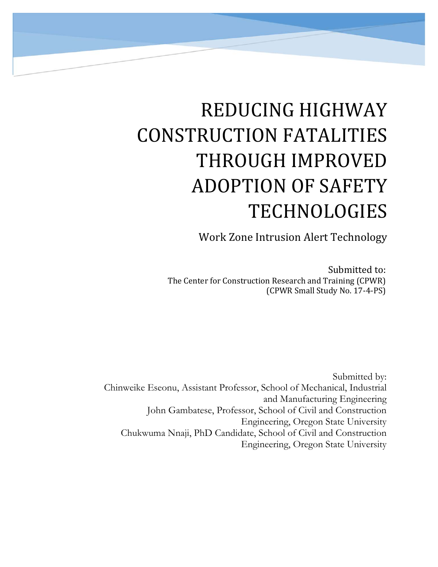# **REDUCING HIGHWAY** CONSTRUCTION FATALITIES THROUGH IMPROVED ADOPTION OF SAFETY TECHNOLOGIES

Work Zone Intrusion Alert Technology

Submitted to: The Center for Construction Research and Training (CPWR) (CPWR Small Study No. 17‐4‐PS) 

Submitted by: Chinweike Eseonu, Assistant Professor, School of Mechanical, Industrial and Manufacturing Engineering John Gambatese, Professor, School of Civil and Construction Engineering, Oregon State University Chukwuma Nnaji, PhD Candidate, School of Civil and Construction Engineering, Oregon State University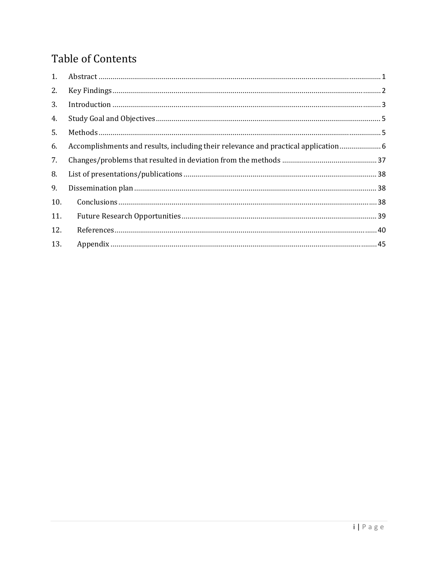# **Table of Contents**

| 1.  |                                                                                  |  |
|-----|----------------------------------------------------------------------------------|--|
| 2.  |                                                                                  |  |
| 3.  |                                                                                  |  |
| 4.  |                                                                                  |  |
| 5.  |                                                                                  |  |
| 6.  | Accomplishments and results, including their relevance and practical application |  |
| 7.  |                                                                                  |  |
| 8.  |                                                                                  |  |
| 9.  |                                                                                  |  |
| 10. |                                                                                  |  |
| 11. |                                                                                  |  |
| 12. |                                                                                  |  |
| 13. |                                                                                  |  |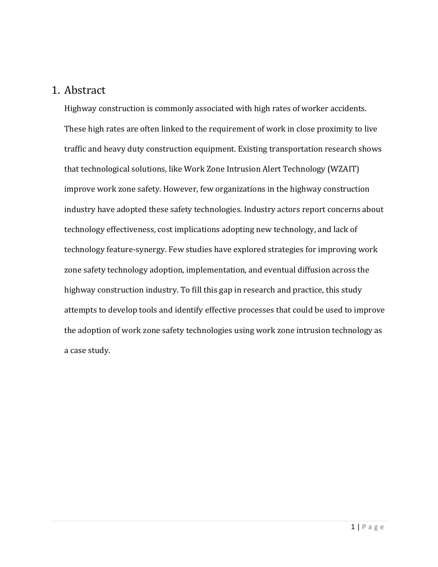## 1. Abstract

Highway construction is commonly associated with high rates of worker accidents. These high rates are often linked to the requirement of work in close proximity to live traffic and heavy duty construction equipment. Existing transportation research shows that technological solutions, like Work Zone Intrusion Alert Technology (WZAIT) improve work zone safety. However, few organizations in the highway construction industry have adopted these safety technologies. Industry actors report concerns about technology effectiveness, cost implications adopting new technology, and lack of technology feature-synergy. Few studies have explored strategies for improving work zone safety technology adoption, implementation, and eventual diffusion across the highway construction industry. To fill this gap in research and practice, this study attempts to develop tools and identify effective processes that could be used to improve the adoption of work zone safety technologies using work zone intrusion technology as a case study.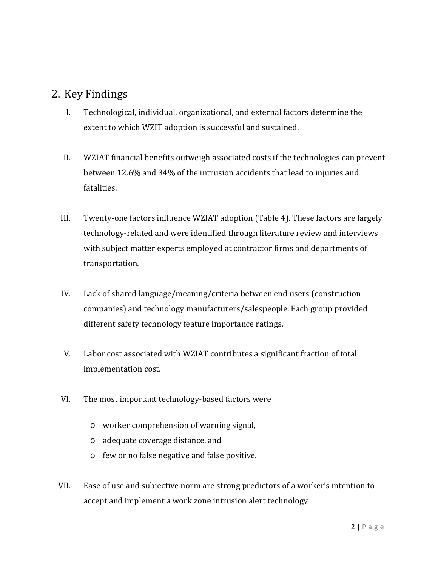## 2. Key Findings

- I. Technological, individual, organizational, and external factors determine the extent to which WZIT adoption is successful and sustained.
- II. WZIAT financial benefits outweigh associated costs if the technologies can prevent between 12.6% and 34% of the intrusion accidents that lead to injuries and fatalities.
- III. Twenty-one factors influence WZIAT adoption  $(Table 4)$ . These factors are largely technology-related and were identified through literature review and interviews with subject matter experts employed at contractor firms and departments of transportation.
- IV. Lack of shared language/meaning/criteria between end users (construction companies) and technology manufacturers/salespeople. Each group provided different safety technology feature importance ratings.
- V. Labor cost associated with WZIAT contributes a significant fraction of total implementation cost.
- VI. The most important technology-based factors were
	- o worker comprehension of warning signal,
	- o adequate coverage distance, and
	- o few or no false negative and false positive.
- VII. Ease of use and subjective norm are strong predictors of a worker's intention to accept and implement a work zone intrusion alert technology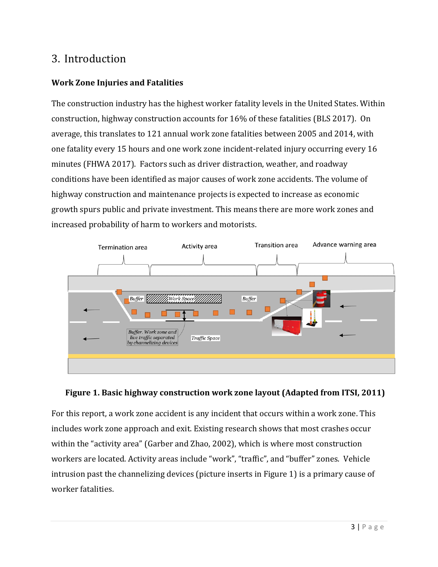# 3. Introduction

## **Work Zone Injuries and Fatalities**

The construction industry has the highest worker fatality levels in the United States. Within construction, highway construction accounts for  $16\%$  of these fatalities (BLS 2017). On average, this translates to 121 annual work zone fatalities between 2005 and 2014, with one fatality every 15 hours and one work zone incident-related injury occurring every 16 minutes (FHWA 2017). Factors such as driver distraction, weather, and roadway conditions have been identified as major causes of work zone accidents. The volume of highway construction and maintenance projects is expected to increase as economic growth spurs public and private investment. This means there are more work zones and increased probability of harm to workers and motorists.



### **Figure 1. Basic highway construction work zone layout (Adapted from ITSI, 2011)**

For this report, a work zone accident is any incident that occurs within a work zone. This includes work zone approach and exit. Existing research shows that most crashes occur within the "activity area" (Garber and Zhao, 2002), which is where most construction workers are located. Activity areas include "work", "traffic", and "buffer" zones. Vehicle intrusion past the channelizing devices (picture inserts in Figure 1) is a primary cause of worker fatalities.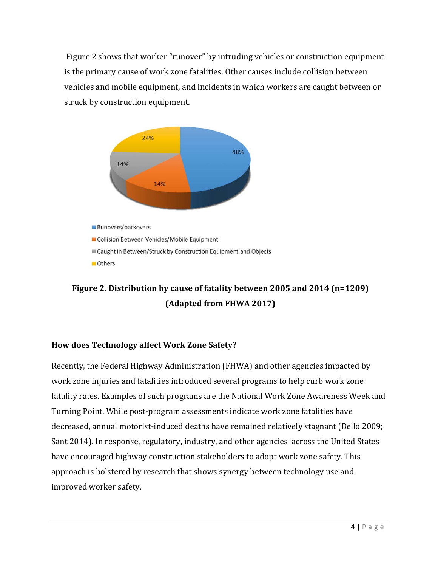Figure 2 shows that worker "runover" by intruding vehicles or construction equipment is the primary cause of work zone fatalities. Other causes include collision between vehicles and mobile equipment, and incidents in which workers are caught between or struck by construction equipment.



# **Figure 2. Distribution by cause of fatality between 2005 and 2014 (n=1209) (Adapted from FHWA 2017)**

#### **How does Technology affect Work Zone Safety?**

Recently, the Federal Highway Administration (FHWA) and other agencies impacted by work zone injuries and fatalities introduced several programs to help curb work zone fatality rates. Examples of such programs are the National Work Zone Awareness Week and Turning Point. While post-program assessments indicate work zone fatalities have decreased, annual motorist-induced deaths have remained relatively stagnant (Bello 2009; Sant 2014). In response, regulatory, industry, and other agencies across the United States have encouraged highway construction stakeholders to adopt work zone safety. This approach is bolstered by research that shows synergy between technology use and improved worker safety.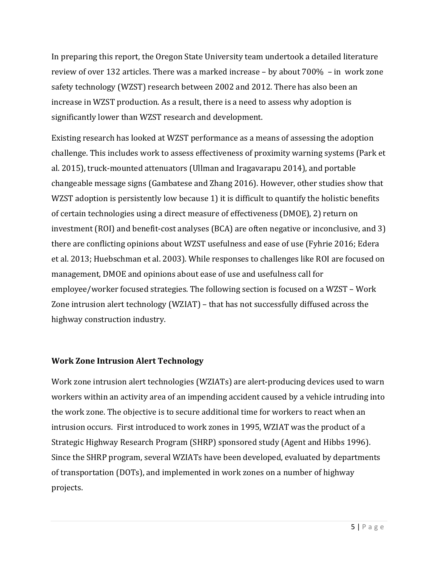In preparing this report, the Oregon State University team undertook a detailed literature review of over 132 articles. There was a marked increase  $-$  by about  $700\% - in$  work zone safety technology (WZST) research between 2002 and 2012. There has also been an increase in WZST production. As a result, there is a need to assess why adoption is significantly lower than WZST research and development.

Existing research has looked at WZST performance as a means of assessing the adoption challenge. This includes work to assess effectiveness of proximity warning systems (Park et al. 2015), truck-mounted attenuators (Ullman and Iragavarapu 2014), and portable changeable message signs (Gambatese and Zhang 2016). However, other studies show that WZST adoption is persistently low because 1) it is difficult to quantify the holistic benefits of certain technologies using a direct measure of effectiveness (DMOE), 2) return on investment  $(ROI)$  and benefit-cost analyses  $(BCA)$  are often negative or inconclusive, and 3) there are conflicting opinions about WZST usefulness and ease of use (Fyhrie 2016; Edera et al. 2013; Huebschman et al. 2003). While responses to challenges like ROI are focused on management, DMOE and opinions about ease of use and usefulness call for employee/worker focused strategies. The following section is focused on a WZST – Work Zone intrusion alert technology (WZIAT) – that has not successfully diffused across the highway construction industry.

#### **Work Zone Intrusion Alert Technology**

Work zone intrusion alert technologies (WZIATs) are alert-producing devices used to warn workers within an activity area of an impending accident caused by a vehicle intruding into the work zone. The objective is to secure additional time for workers to react when an intrusion occurs. First introduced to work zones in 1995, WZIAT was the product of a Strategic Highway Research Program (SHRP) sponsored study (Agent and Hibbs 1996). Since the SHRP program, several WZIATs have been developed, evaluated by departments of transportation (DOTs), and implemented in work zones on a number of highway projects.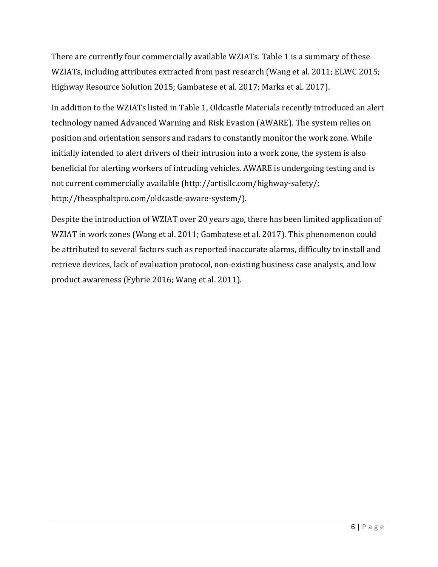There are currently four commercially available WZIATs. Table 1 is a summary of these WZIATs, including attributes extracted from past research (Wang et al. 2011; ELWC 2015; Highway Resource Solution 2015; Gambatese et al. 2017; Marks et al. 2017).

In addition to the WZIATs listed in Table 1, Oldcastle Materials recently introduced an alert technology named Advanced Warning and Risk Evasion (AWARE). The system relies on position and orientation sensors and radars to constantly monitor the work zone. While initially intended to alert drivers of their intrusion into a work zone, the system is also beneficial for alerting workers of intruding vehicles. AWARE is undergoing testing and is not current commercially available (http://artisllc.com/highway-safety/; http://theasphaltpro.com/oldcastle‐aware‐system/). 

Despite the introduction of WZIAT over 20 years ago, there has been limited application of WZIAT in work zones (Wang et al. 2011; Gambatese et al. 2017). This phenomenon could be attributed to several factors such as reported inaccurate alarms, difficulty to install and retrieve devices, lack of evaluation protocol, non-existing business case analysis, and low product awareness (Fyhrie 2016; Wang et al. 2011).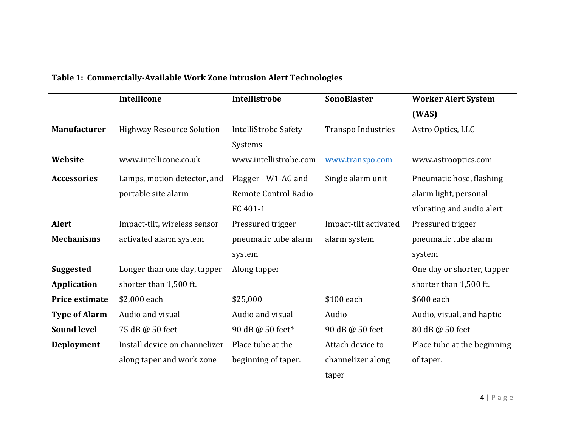|                      | <b>Intellicone</b>               | <b>Intellistrobe</b>        | <b>SonoBlaster</b>        | <b>Worker Alert System</b>  |
|----------------------|----------------------------------|-----------------------------|---------------------------|-----------------------------|
|                      |                                  |                             |                           | (WAS)                       |
| <b>Manufacturer</b>  | <b>Highway Resource Solution</b> | <b>IntelliStrobe Safety</b> | <b>Transpo Industries</b> | Astro Optics, LLC           |
|                      |                                  | Systems                     |                           |                             |
| Website              | www.intellicone.co.uk            | www.intellistrobe.com       | www.transpo.com           | www.astrooptics.com         |
| <b>Accessories</b>   | Lamps, motion detector, and      | Flagger - W1-AG and         | Single alarm unit         | Pneumatic hose, flashing    |
|                      | portable site alarm              | Remote Control Radio-       |                           | alarm light, personal       |
|                      |                                  | FC 401-1                    |                           | vibrating and audio alert   |
| <b>Alert</b>         | Impact-tilt, wireless sensor     | Pressured trigger           | Impact-tilt activated     | Pressured trigger           |
| <b>Mechanisms</b>    | activated alarm system           | pneumatic tube alarm        | alarm system              | pneumatic tube alarm        |
|                      |                                  | system                      |                           | system                      |
| <b>Suggested</b>     | Longer than one day, tapper      | Along tapper                |                           | One day or shorter, tapper  |
| <b>Application</b>   | shorter than 1,500 ft.           |                             |                           | shorter than 1,500 ft.      |
| Price estimate       | \$2,000 each                     | \$25,000                    | \$100 each                | \$600 each                  |
| <b>Type of Alarm</b> | Audio and visual                 | Audio and visual            | Audio                     | Audio, visual, and haptic   |
| <b>Sound level</b>   | 75 dB @ 50 feet                  | 90 dB @ 50 feet*            | 90 dB @ 50 feet           | 80 dB @ 50 feet             |
| Deployment           | Install device on channelizer    | Place tube at the           | Attach device to          | Place tube at the beginning |
|                      | along taper and work zone        | beginning of taper.         | channelizer along         | of taper.                   |
|                      |                                  |                             | taper                     |                             |

#### **Table 1: Commercially‐Available Work Zone Intrusion Alert Technologies**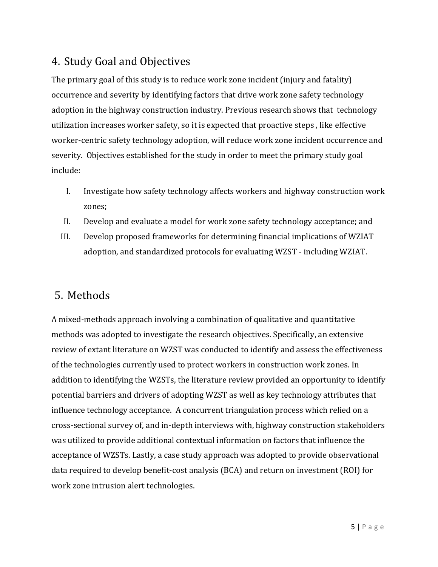# 4. Study Goal and Objectives

The primary goal of this study is to reduce work zone incident (injury and fatality) occurrence and severity by identifying factors that drive work zone safety technology adoption in the highway construction industry. Previous research shows that technology utilization increases worker safety, so it is expected that proactive steps, like effective worker-centric safety technology adoption, will reduce work zone incident occurrence and severity. Objectives established for the study in order to meet the primary study goal include: 

- I. Investigate how safety technology affects workers and highway construction work zones;
- II. Develop and evaluate a model for work zone safety technology acceptance; and
- III. Develop proposed frameworks for determining financial implications of WZIAT adoption, and standardized protocols for evaluating WZST - including WZIAT.

# 5. Methods

A mixed-methods approach involving a combination of qualitative and quantitative methods was adopted to investigate the research objectives. Specifically, an extensive review of extant literature on WZST was conducted to identify and assess the effectiveness of the technologies currently used to protect workers in construction work zones. In addition to identifying the WZSTs, the literature review provided an opportunity to identify potential barriers and drivers of adopting WZST as well as key technology attributes that influence technology acceptance. A concurrent triangulation process which relied on a cross-sectional survey of, and in-depth interviews with, highway construction stakeholders was utilized to provide additional contextual information on factors that influence the acceptance of WZSTs. Lastly, a case study approach was adopted to provide observational data required to develop benefit-cost analysis (BCA) and return on investment (ROI) for work zone intrusion alert technologies.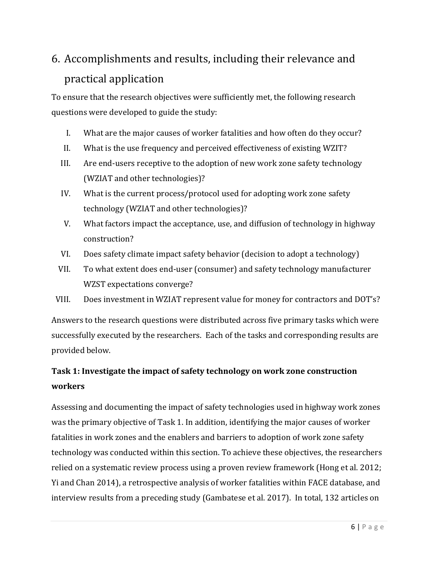# 6. Accomplishments and results, including their relevance and practical application

To ensure that the research objectives were sufficiently met, the following research questions were developed to guide the study:

- I. What are the major causes of worker fatalities and how often do they occur?
- II. What is the use frequency and perceived effectiveness of existing WZIT?
- III. Are end-users receptive to the adoption of new work zone safety technology (WZIAT and other technologies)?
- IV. What is the current process/protocol used for adopting work zone safety technology (WZIAT and other technologies)?
- V. What factors impact the acceptance, use, and diffusion of technology in highway construction?
- VI. Does safety climate impact safety behavior (decision to adopt a technology)
- VII. To what extent does end-user (consumer) and safety technology manufacturer WZST expectations converge?
- VIII. Does investment in WZIAT represent value for money for contractors and DOT's?

Answers to the research questions were distributed across five primary tasks which were successfully executed by the researchers. Each of the tasks and corresponding results are provided below.

# **Task 1: Investigate the impact of safety technology on work zone construction workers**

Assessing and documenting the impact of safety technologies used in highway work zones was the primary objective of Task 1. In addition, identifying the major causes of worker fatalities in work zones and the enablers and barriers to adoption of work zone safety technology was conducted within this section. To achieve these objectives, the researchers relied on a systematic review process using a proven review framework (Hong et al. 2012; Yi and Chan 2014), a retrospective analysis of worker fatalities within FACE database, and interview results from a preceding study (Gambatese et al. 2017). In total, 132 articles on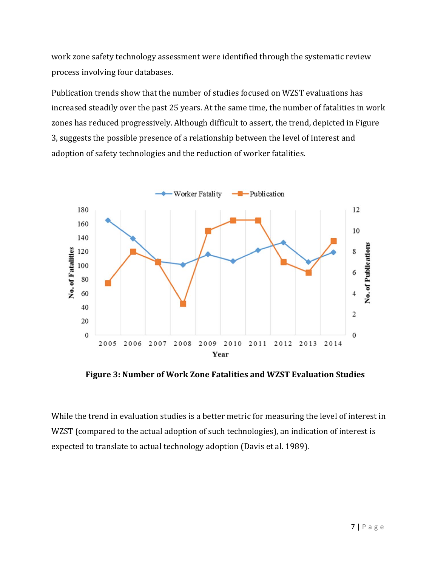work zone safety technology assessment were identified through the systematic review process involving four databases.

Publication trends show that the number of studies focused on WZST evaluations has increased steadily over the past 25 years. At the same time, the number of fatalities in work zones has reduced progressively. Although difficult to assert, the trend, depicted in Figure 3, suggests the possible presence of a relationship between the level of interest and adoption of safety technologies and the reduction of worker fatalities.



**Figure 3: Number of Work Zone Fatalities and WZST Evaluation Studies**

While the trend in evaluation studies is a better metric for measuring the level of interest in WZST (compared to the actual adoption of such technologies), an indication of interest is expected to translate to actual technology adoption (Davis et al. 1989).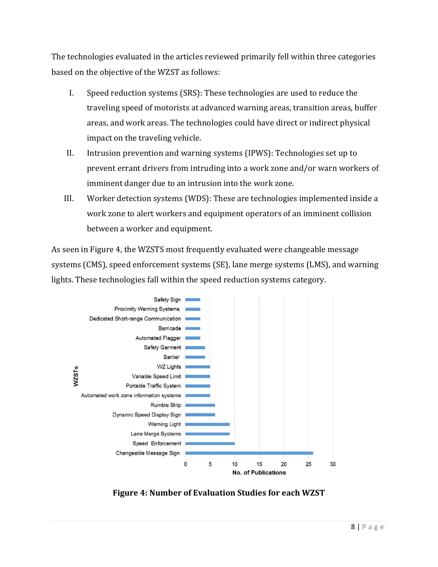The technologies evaluated in the articles reviewed primarily fell within three categories based on the objective of the WZST as follows:

- I. Speed reduction systems (SRS): These technologies are used to reduce the traveling speed of motorists at advanced warning areas, transition areas, buffer areas, and work areas. The technologies could have direct or indirect physical impact on the traveling vehicle.
- II. Intrusion prevention and warning systems (IPWS): Technologies set up to prevent errant drivers from intruding into a work zone and/or warn workers of imminent danger due to an intrusion into the work zone.
- III. Worker detection systems (WDS): These are technologies implemented inside a work zone to alert workers and equipment operators of an imminent collision between a worker and equipment.

As seen in Figure 4, the WZSTS most frequently evaluated were changeable message systems (CMS), speed enforcement systems (SE), lane merge systems (LMS), and warning lights. These technologies fall within the speed reduction systems category.



**Figure 4: Number of Evaluation Studies for each WZST**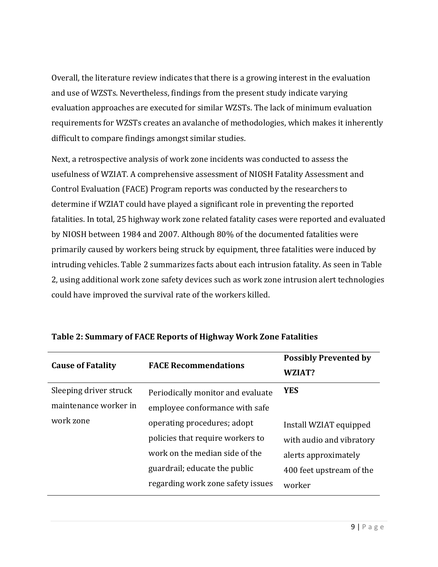Overall, the literature review indicates that there is a growing interest in the evaluation and use of WZSTs. Nevertheless, findings from the present study indicate varying evaluation approaches are executed for similar WZSTs. The lack of minimum evaluation requirements for WZSTs creates an avalanche of methodologies, which makes it inherently difficult to compare findings amongst similar studies.

Next, a retrospective analysis of work zone incidents was conducted to assess the usefulness of WZIAT. A comprehensive assessment of NIOSH Fatality Assessment and Control Evaluation (FACE) Program reports was conducted by the researchers to determine if WZIAT could have played a significant role in preventing the reported fatalities. In total, 25 highway work zone related fatality cases were reported and evaluated by NIOSH between 1984 and 2007. Although 80% of the documented fatalities were primarily caused by workers being struck by equipment, three fatalities were induced by intruding vehicles. Table 2 summarizes facts about each intrusion fatality. As seen in Table 2, using additional work zone safety devices such as work zone intrusion alert technologies could have improved the survival rate of the workers killed.

|                          | <b>FACE Recommendations</b>       | <b>Possibly Prevented by</b> |  |
|--------------------------|-----------------------------------|------------------------------|--|
| <b>Cause of Fatality</b> |                                   | WZIAT?                       |  |
| Sleeping driver struck   | Periodically monitor and evaluate | <b>YES</b>                   |  |
| maintenance worker in    | employee conformance with safe    |                              |  |
| work zone                | operating procedures; adopt       | Install WZIAT equipped       |  |
|                          | policies that require workers to  | with audio and vibratory     |  |
|                          | work on the median side of the    | alerts approximately         |  |
|                          | guardrail; educate the public     | 400 feet upstream of the     |  |
|                          | regarding work zone safety issues | worker                       |  |

#### **Table 2: Summary of FACE Reports of Highway Work Zone Fatalities**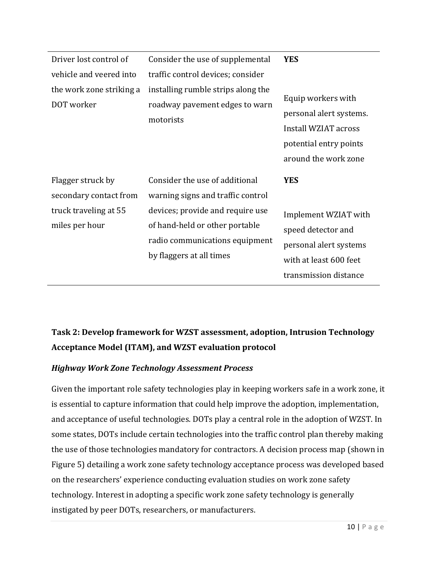| Driver lost control of<br>vehicle and veered into<br>the work zone striking a<br>DOT worker | Consider the use of supplemental<br>traffic control devices; consider<br>installing rumble strips along the<br>roadway pavement edges to warn<br>motorists                                              | <b>YES</b><br>Equip workers with<br>personal alert systems.<br>Install WZIAT across<br>potential entry points<br>around the work zone |
|---------------------------------------------------------------------------------------------|---------------------------------------------------------------------------------------------------------------------------------------------------------------------------------------------------------|---------------------------------------------------------------------------------------------------------------------------------------|
| Flagger struck by<br>secondary contact from<br>truck traveling at 55<br>miles per hour      | Consider the use of additional<br>warning signs and traffic control<br>devices; provide and require use<br>of hand-held or other portable<br>radio communications equipment<br>by flaggers at all times | <b>YES</b><br>Implement WZIAT with<br>speed detector and<br>personal alert systems<br>with at least 600 feet<br>transmission distance |

# **Task 2: Develop framework for WZST assessment, adoption, Intrusion Technology Acceptance Model (ITAM), and WZST evaluation protocol**

#### *Highway Work Zone Technology Assessment Process*

Given the important role safety technologies play in keeping workers safe in a work zone, it is essential to capture information that could help improve the adoption, implementation, and acceptance of useful technologies. DOTs play a central role in the adoption of WZST. In some states, DOTs include certain technologies into the traffic control plan thereby making the use of those technologies mandatory for contractors. A decision process map (shown in Figure 5) detailing a work zone safety technology acceptance process was developed based on the researchers' experience conducting evaluation studies on work zone safety technology. Interest in adopting a specific work zone safety technology is generally instigated by peer DOTs, researchers, or manufacturers.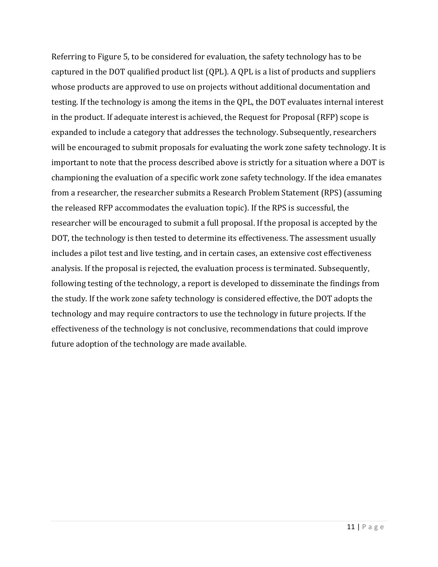Referring to Figure 5, to be considered for evaluation, the safety technology has to be captured in the DOT qualified product list (QPL). A QPL is a list of products and suppliers whose products are approved to use on projects without additional documentation and testing. If the technology is among the items in the QPL, the DOT evaluates internal interest in the product. If adequate interest is achieved, the Request for Proposal (RFP) scope is expanded to include a category that addresses the technology. Subsequently, researchers will be encouraged to submit proposals for evaluating the work zone safety technology. It is important to note that the process described above is strictly for a situation where a DOT is championing the evaluation of a specific work zone safety technology. If the idea emanates from a researcher, the researcher submits a Research Problem Statement (RPS) (assuming the released RFP accommodates the evaluation topic). If the RPS is successful, the researcher will be encouraged to submit a full proposal. If the proposal is accepted by the DOT, the technology is then tested to determine its effectiveness. The assessment usually includes a pilot test and live testing, and in certain cases, an extensive cost effectiveness analysis. If the proposal is rejected, the evaluation process is terminated. Subsequently, following testing of the technology, a report is developed to disseminate the findings from the study. If the work zone safety technology is considered effective, the DOT adopts the technology and may require contractors to use the technology in future projects. If the effectiveness of the technology is not conclusive, recommendations that could improve future adoption of the technology are made available.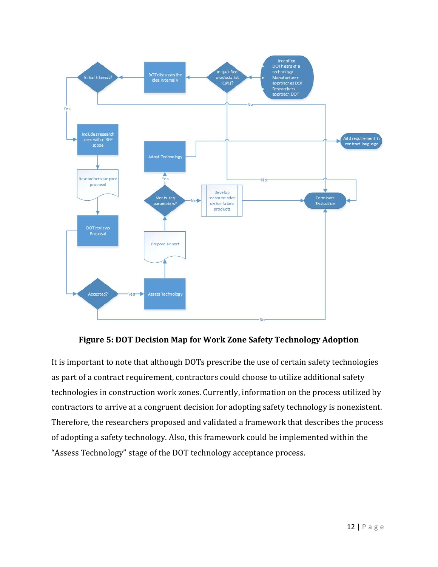

**Figure 5: DOT Decision Map for Work Zone Safety Technology Adoption** 

It is important to note that although DOTs prescribe the use of certain safety technologies as part of a contract requirement, contractors could choose to utilize additional safety technologies in construction work zones. Currently, information on the process utilized by contractors to arrive at a congruent decision for adopting safety technology is nonexistent. Therefore, the researchers proposed and validated a framework that describes the process of adopting a safety technology. Also, this framework could be implemented within the "Assess Technology" stage of the DOT technology acceptance process.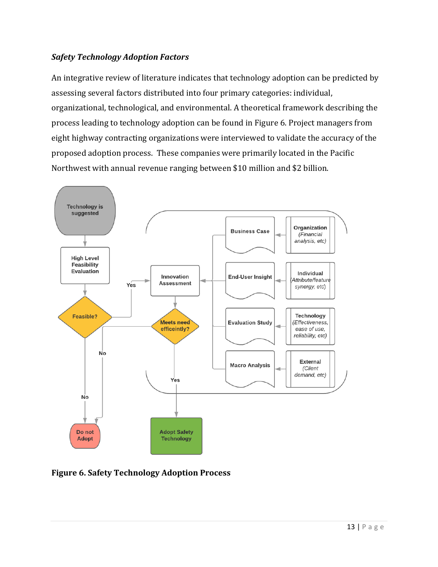#### *Safety Technology Adoption Factors*

An integrative review of literature indicates that technology adoption can be predicted by assessing several factors distributed into four primary categories: individual, organizational, technological, and environmental. A theoretical framework describing the process leading to technology adoption can be found in Figure 6. Project managers from eight highway contracting organizations were interviewed to validate the accuracy of the proposed adoption process. These companies were primarily located in the Pacific Northwest with annual revenue ranging between \$10 million and \$2 billion.



**Figure 6. Safety Technology Adoption Process**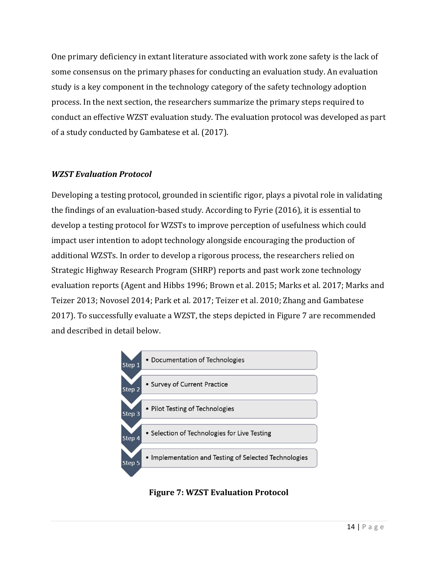One primary deficiency in extant literature associated with work zone safety is the lack of some consensus on the primary phases for conducting an evaluation study. An evaluation study is a key component in the technology category of the safety technology adoption process. In the next section, the researchers summarize the primary steps required to conduct an effective WZST evaluation study. The evaluation protocol was developed as part of a study conducted by Gambatese et al. (2017).

#### *WZST Evaluation Protocol*

Developing a testing protocol, grounded in scientific rigor, plays a pivotal role in validating the findings of an evaluation-based study. According to Fyrie  $(2016)$ , it is essential to develop a testing protocol for WZSTs to improve perception of usefulness which could impact user intention to adopt technology alongside encouraging the production of additional WZSTs. In order to develop a rigorous process, the researchers relied on Strategic Highway Research Program (SHRP) reports and past work zone technology evaluation reports (Agent and Hibbs 1996; Brown et al. 2015; Marks et al. 2017; Marks and Teizer 2013; Novosel 2014; Park et al. 2017; Teizer et al. 2010; Zhang and Gambatese 2017). To successfully evaluate a WZST, the steps depicted in Figure 7 are recommended and described in detail below.



**Figure 7: WZST Evaluation Protocol**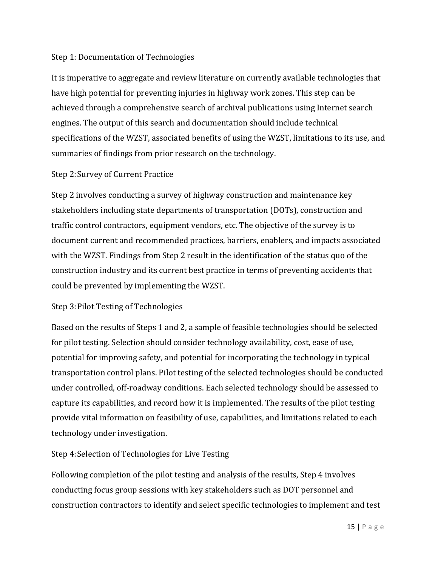#### Step 1: Documentation of Technologies

It is imperative to aggregate and review literature on currently available technologies that have high potential for preventing injuries in highway work zones. This step can be achieved through a comprehensive search of archival publications using Internet search engines. The output of this search and documentation should include technical specifications of the WZST, associated benefits of using the WZST, limitations to its use, and summaries of findings from prior research on the technology.

#### Step 2: Survey of Current Practice

Step 2 involves conducting a survey of highway construction and maintenance key stakeholders including state departments of transportation (DOTs), construction and traffic control contractors, equipment vendors, etc. The objective of the survey is to document current and recommended practices, barriers, enablers, and impacts associated with the WZST. Findings from Step 2 result in the identification of the status quo of the construction industry and its current best practice in terms of preventing accidents that could be prevented by implementing the WZST.

#### Step 3: Pilot Testing of Technologies

Based on the results of Steps 1 and 2, a sample of feasible technologies should be selected for pilot testing. Selection should consider technology availability, cost, ease of use, potential for improving safety, and potential for incorporating the technology in typical transportation control plans. Pilot testing of the selected technologies should be conducted under controlled, off-roadway conditions. Each selected technology should be assessed to capture its capabilities, and record how it is implemented. The results of the pilot testing provide vital information on feasibility of use, capabilities, and limitations related to each technology under investigation.

#### Step 4: Selection of Technologies for Live Testing

Following completion of the pilot testing and analysis of the results, Step 4 involves conducting focus group sessions with key stakeholders such as DOT personnel and construction contractors to identify and select specific technologies to implement and test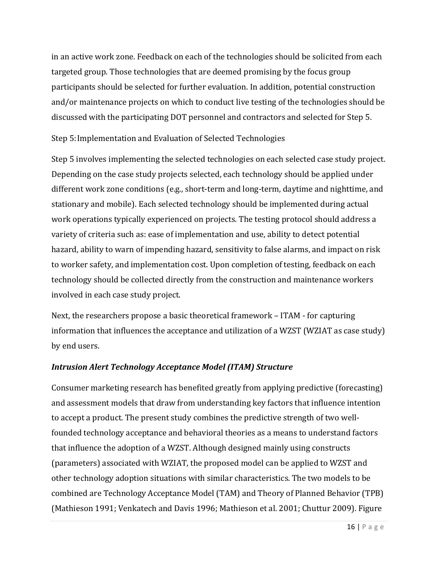in an active work zone. Feedback on each of the technologies should be solicited from each targeted group. Those technologies that are deemed promising by the focus group participants should be selected for further evaluation. In addition, potential construction and/or maintenance projects on which to conduct live testing of the technologies should be discussed with the participating DOT personnel and contractors and selected for Step 5.

Step 5: Implementation and Evaluation of Selected Technologies

Step 5 involves implementing the selected technologies on each selected case study project. Depending on the case study projects selected, each technology should be applied under different work zone conditions (e.g., short-term and long-term, daytime and nighttime, and stationary and mobile). Each selected technology should be implemented during actual work operations typically experienced on projects. The testing protocol should address a variety of criteria such as: ease of implementation and use, ability to detect potential hazard, ability to warn of impending hazard, sensitivity to false alarms, and impact on risk to worker safety, and implementation cost. Upon completion of testing, feedback on each technology should be collected directly from the construction and maintenance workers involved in each case study project.

Next, the researchers propose a basic theoretical framework – ITAM - for capturing information that influences the acceptance and utilization of a WZST (WZIAT as case study) by end users.

#### *Intrusion Alert Technology Acceptance Model (ITAM) Structure*

Consumer marketing research has benefited greatly from applying predictive (forecasting) and assessment models that draw from understanding key factors that influence intention to accept a product. The present study combines the predictive strength of two wellfounded technology acceptance and behavioral theories as a means to understand factors that influence the adoption of a WZST. Although designed mainly using constructs (parameters) associated with WZIAT, the proposed model can be applied to WZST and other technology adoption situations with similar characteristics. The two models to be combined are Technology Acceptance Model (TAM) and Theory of Planned Behavior (TPB) (Mathieson 1991; Venkatech and Davis 1996; Mathieson et al. 2001; Chuttur 2009). Figure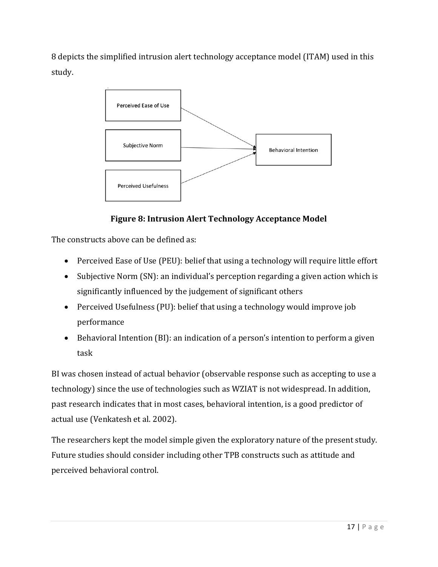8 depicts the simplified intrusion alert technology acceptance model (ITAM) used in this study. 



## **Figure 8: Intrusion Alert Technology Acceptance Model**

The constructs above can be defined as:

- Perceived Ease of Use (PEU): belief that using a technology will require little effort
- Subjective Norm (SN): an individual's perception regarding a given action which is significantly influenced by the judgement of significant others
- Perceived Usefulness (PU): belief that using a technology would improve job performance
- $\bullet$  Behavioral Intention (BI): an indication of a person's intention to perform a given task

BI was chosen instead of actual behavior (observable response such as accepting to use a technology) since the use of technologies such as WZIAT is not widespread. In addition, past research indicates that in most cases, behavioral intention, is a good predictor of actual use (Venkatesh et al. 2002).

The researchers kept the model simple given the exploratory nature of the present study. Future studies should consider including other TPB constructs such as attitude and perceived behavioral control.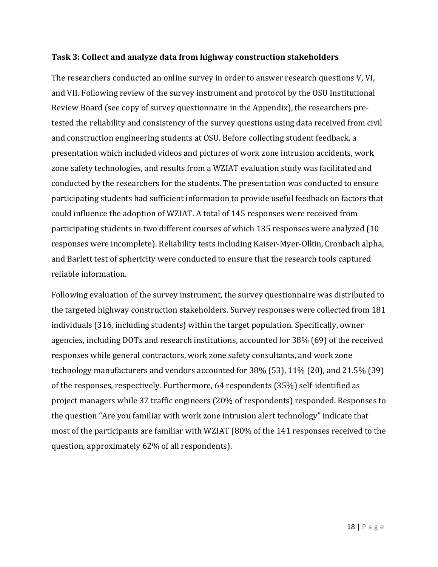#### **Task 3: Collect and analyze data from highway construction stakeholders**

The researchers conducted an online survey in order to answer research questions V, VI, and VII. Following review of the survey instrument and protocol by the OSU Institutional Review Board (see copy of survey questionnaire in the Appendix), the researchers pretested the reliability and consistency of the survey questions using data received from civil and construction engineering students at OSU. Before collecting student feedback, a presentation which included videos and pictures of work zone intrusion accidents, work zone safety technologies, and results from a WZIAT evaluation study was facilitated and conducted by the researchers for the students. The presentation was conducted to ensure participating students had sufficient information to provide useful feedback on factors that could influence the adoption of WZIAT. A total of 145 responses were received from participating students in two different courses of which 135 responses were analyzed (10 responses were incomplete). Reliability tests including Kaiser-Myer-Olkin, Cronbach alpha, and Barlett test of sphericity were conducted to ensure that the research tools captured reliable information.

Following evaluation of the survey instrument, the survey questionnaire was distributed to the targeted highway construction stakeholders. Survey responses were collected from 181 individuals (316, including students) within the target population. Specifically, owner agencies, including DOTs and research institutions, accounted for 38% (69) of the received responses while general contractors, work zone safety consultants, and work zone technology manufacturers and vendors accounted for  $38\%$  (53),  $11\%$  (20), and 21.5% (39) of the responses, respectively. Furthermore, 64 respondents (35%) self-identified as project managers while 37 traffic engineers (20% of respondents) responded. Responses to the question "Are you familiar with work zone intrusion alert technology" indicate that most of the participants are familiar with WZIAT (80% of the 141 responses received to the question, approximately 62% of all respondents).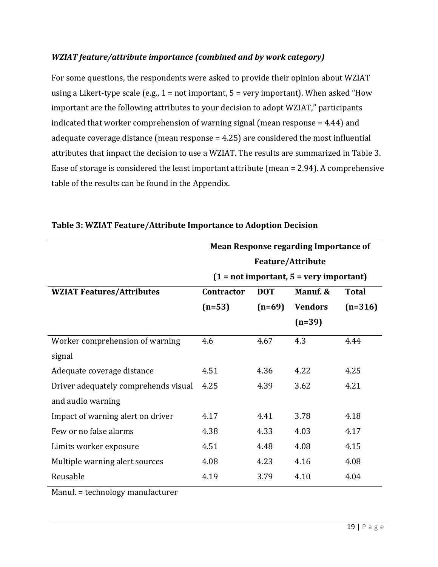#### *WZIAT feature/attribute importance (combined and by work category)*

For some questions, the respondents were asked to provide their opinion about WZIAT using a Likert-type scale (e.g.,  $1 = not$  important,  $5 = very$  important). When asked "How important are the following attributes to your decision to adopt WZIAT," participants indicated that worker comprehension of warning signal (mean response  $=$  4.44) and adequate coverage distance (mean response  $= 4.25$ ) are considered the most influential attributes that impact the decision to use a WZIAT. The results are summarized in Table 3. Ease of storage is considered the least important attribute (mean  $= 2.94$ ). A comprehensive table of the results can be found in the Appendix.

|                                      | <b>Mean Response regarding Importance of</b> |            |                                           |              |  |  |
|--------------------------------------|----------------------------------------------|------------|-------------------------------------------|--------------|--|--|
|                                      | <b>Feature/Attribute</b>                     |            |                                           |              |  |  |
|                                      |                                              |            | $(1 = not important, 5 = very important)$ |              |  |  |
| <b>WZIAT Features/Attributes</b>     | <b>Contractor</b>                            | <b>DOT</b> | Manuf. &                                  | <b>Total</b> |  |  |
|                                      | $(n=53)$                                     | $(n=69)$   | <b>Vendors</b>                            | $(n=316)$    |  |  |
|                                      |                                              |            | $(n=39)$                                  |              |  |  |
| Worker comprehension of warning      | 4.6                                          | 4.67       | 4.3                                       | 4.44         |  |  |
| signal                               |                                              |            |                                           |              |  |  |
| Adequate coverage distance           | 4.51                                         | 4.36       | 4.22                                      | 4.25         |  |  |
| Driver adequately comprehends visual | 4.25                                         | 4.39       | 3.62                                      | 4.21         |  |  |
| and audio warning                    |                                              |            |                                           |              |  |  |
| Impact of warning alert on driver    | 4.17                                         | 4.41       | 3.78                                      | 4.18         |  |  |
| Few or no false alarms               | 4.38                                         | 4.33       | 4.03                                      | 4.17         |  |  |
| Limits worker exposure               | 4.51                                         | 4.48       | 4.08                                      | 4.15         |  |  |
| Multiple warning alert sources       | 4.08                                         | 4.23       | 4.16                                      | 4.08         |  |  |
| Reusable                             | 4.19                                         | 3.79       | 4.10                                      | 4.04         |  |  |

#### **Table 3: WZIAT Feature/Attribute Importance to Adoption Decision**

Manuf. = technology manufacturer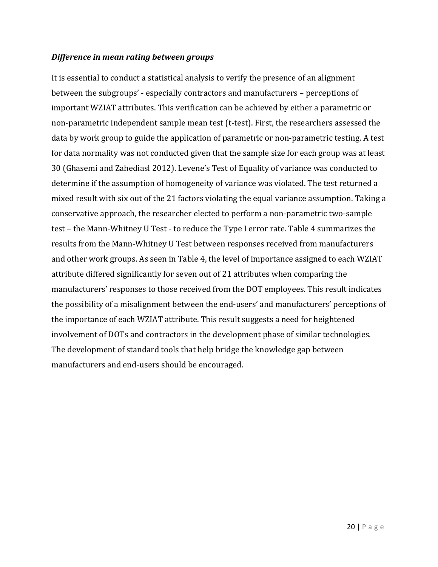#### *Difference in mean rating between groups*

It is essential to conduct a statistical analysis to verify the presence of an alignment between the subgroups' - especially contractors and manufacturers – perceptions of important WZIAT attributes. This verification can be achieved by either a parametric or non-parametric independent sample mean test (t-test). First, the researchers assessed the data by work group to guide the application of parametric or non-parametric testing. A test for data normality was not conducted given that the sample size for each group was at least 30 (Ghasemi and Zahediasl 2012). Levene's Test of Equality of variance was conducted to determine if the assumption of homogeneity of variance was violated. The test returned a mixed result with six out of the 21 factors violating the equal variance assumption. Taking a conservative approach, the researcher elected to perform a non-parametric two-sample test – the Mann-Whitney U Test - to reduce the Type I error rate. Table 4 summarizes the results from the Mann-Whitney U Test between responses received from manufacturers and other work groups. As seen in Table 4, the level of importance assigned to each WZIAT attribute differed significantly for seven out of 21 attributes when comparing the manufacturers' responses to those received from the DOT employees. This result indicates the possibility of a misalignment between the end-users' and manufacturers' perceptions of the importance of each WZIAT attribute. This result suggests a need for heightened involvement of DOTs and contractors in the development phase of similar technologies. The development of standard tools that help bridge the knowledge gap between manufacturers and end-users should be encouraged.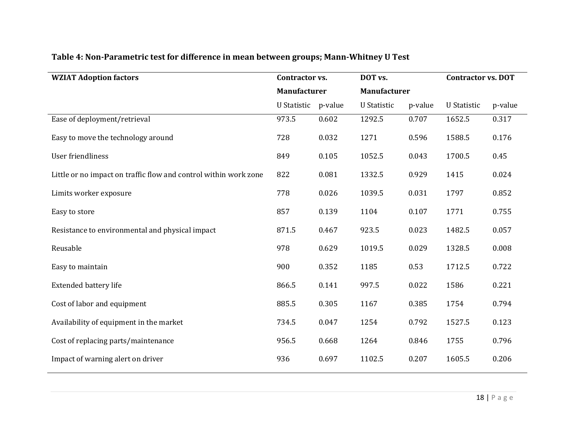#### **Table 4: Non‐Parametric test for difference in mean between groups; Mann‐Whitney U Test**

| <b>WZIAT Adoption factors</b>                                    | Contractor vs.      |              | DOT vs.            |                     | <b>Contractor vs. DOT</b> |         |
|------------------------------------------------------------------|---------------------|--------------|--------------------|---------------------|---------------------------|---------|
|                                                                  |                     | Manufacturer |                    | <b>Manufacturer</b> |                           |         |
|                                                                  | U Statistic p-value |              | <b>U</b> Statistic | p-value             | <b>U</b> Statistic        | p-value |
| Ease of deployment/retrieval                                     | 973.5               | 0.602        | 1292.5             | 0.707               | 1652.5                    | 0.317   |
| Easy to move the technology around                               | 728                 | 0.032        | 1271               | 0.596               | 1588.5                    | 0.176   |
| User friendliness                                                | 849                 | 0.105        | 1052.5             | 0.043               | 1700.5                    | 0.45    |
| Little or no impact on traffic flow and control within work zone | 822                 | 0.081        | 1332.5             | 0.929               | 1415                      | 0.024   |
| Limits worker exposure                                           | 778                 | 0.026        | 1039.5             | 0.031               | 1797                      | 0.852   |
| Easy to store                                                    | 857                 | 0.139        | 1104               | 0.107               | 1771                      | 0.755   |
| Resistance to environmental and physical impact                  | 871.5               | 0.467        | 923.5              | 0.023               | 1482.5                    | 0.057   |
| Reusable                                                         | 978                 | 0.629        | 1019.5             | 0.029               | 1328.5                    | 0.008   |
| Easy to maintain                                                 | 900                 | 0.352        | 1185               | 0.53                | 1712.5                    | 0.722   |
| <b>Extended battery life</b>                                     | 866.5               | 0.141        | 997.5              | 0.022               | 1586                      | 0.221   |
| Cost of labor and equipment                                      | 885.5               | 0.305        | 1167               | 0.385               | 1754                      | 0.794   |
| Availability of equipment in the market                          | 734.5               | 0.047        | 1254               | 0.792               | 1527.5                    | 0.123   |
| Cost of replacing parts/maintenance                              | 956.5               | 0.668        | 1264               | 0.846               | 1755                      | 0.796   |
| Impact of warning alert on driver                                | 936                 | 0.697        | 1102.5             | 0.207               | 1605.5                    | 0.206   |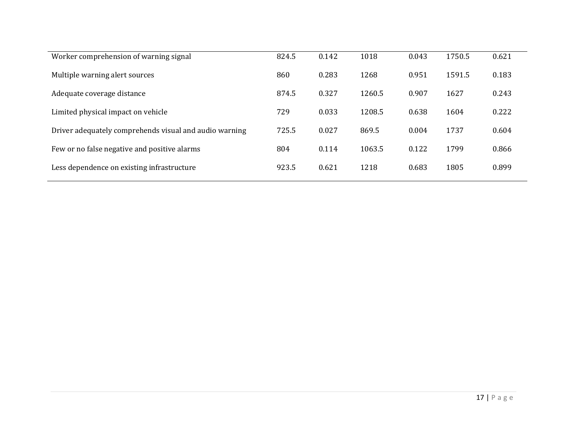| Worker comprehension of warning signal                 | 824.5 | 0.142 | 1018   | 0.043 | 1750.5 | 0.621 |
|--------------------------------------------------------|-------|-------|--------|-------|--------|-------|
| Multiple warning alert sources                         | 860   | 0.283 | 1268   | 0.951 | 1591.5 | 0.183 |
| Adequate coverage distance                             | 874.5 | 0.327 | 1260.5 | 0.907 | 1627   | 0.243 |
| Limited physical impact on vehicle                     | 729   | 0.033 | 1208.5 | 0.638 | 1604   | 0.222 |
| Driver adequately comprehends visual and audio warning | 725.5 | 0.027 | 869.5  | 0.004 | 1737   | 0.604 |
| Few or no false negative and positive alarms           | 804   | 0.114 | 1063.5 | 0.122 | 1799   | 0.866 |
| Less dependence on existing infrastructure             | 923.5 | 0.621 | 1218   | 0.683 | 1805   | 0.899 |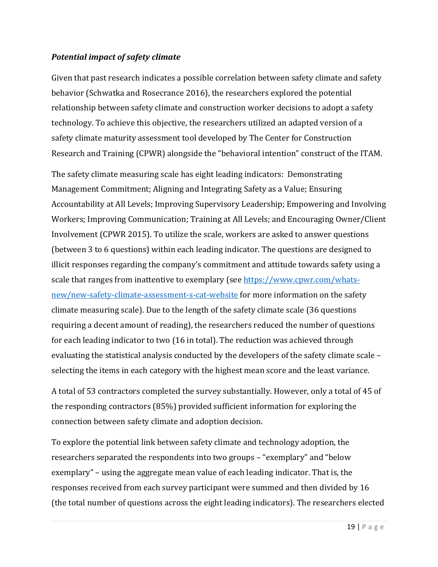#### *Potential impact of safety climate*

Given that past research indicates a possible correlation between safety climate and safety behavior (Schwatka and Rosecrance 2016), the researchers explored the potential relationship between safety climate and construction worker decisions to adopt a safety technology. To achieve this objective, the researchers utilized an adapted version of a safety climate maturity assessment tool developed by The Center for Construction Research and Training (CPWR) alongside the "behavioral intention" construct of the ITAM.

The safety climate measuring scale has eight leading indicators: Demonstrating Management Commitment; Aligning and Integrating Safety as a Value; Ensuring Accountability at All Levels; Improving Supervisory Leadership; Empowering and Involving Workers; Improving Communication; Training at All Levels; and Encouraging Owner/Client Involvement (CPWR 2015). To utilize the scale, workers are asked to answer questions (between 3 to 6 questions) within each leading indicator. The questions are designed to illicit responses regarding the company's commitment and attitude towards safety using a scale that ranges from inattentive to exemplary (see https://www.cpwr.com/whatsnew/new-safety-climate-assessment-s-cat-website for more information on the safety climate measuring scale). Due to the length of the safety climate scale (36 questions requiring a decent amount of reading), the researchers reduced the number of questions for each leading indicator to two (16 in total). The reduction was achieved through evaluating the statistical analysis conducted by the developers of the safety climate scale – selecting the items in each category with the highest mean score and the least variance.

A total of 53 contractors completed the survey substantially. However, only a total of 45 of the responding contractors  $(85%)$  provided sufficient information for exploring the connection between safety climate and adoption decision.

To explore the potential link between safety climate and technology adoption, the researchers separated the respondents into two groups – "exemplary" and "below exemplary" – using the aggregate mean value of each leading indicator. That is, the responses received from each survey participant were summed and then divided by 16 (the total number of questions across the eight leading indicators). The researchers elected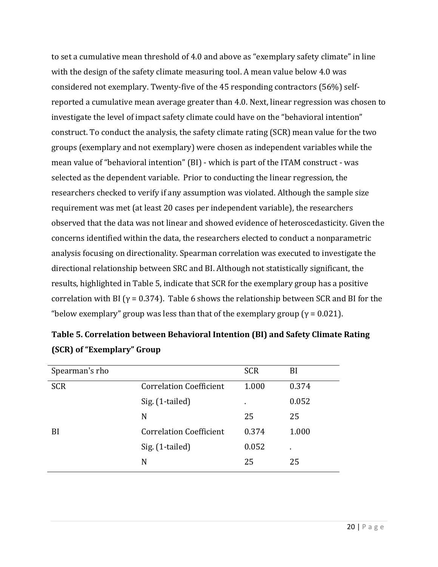to set a cumulative mean threshold of 4.0 and above as "exemplary safety climate" in line with the design of the safety climate measuring tool. A mean value below 4.0 was considered not exemplary. Twenty-five of the 45 responding contractors  $(56%)$  selfreported a cumulative mean average greater than 4.0. Next, linear regression was chosen to investigate the level of impact safety climate could have on the "behavioral intention" construct. To conduct the analysis, the safety climate rating (SCR) mean value for the two groups (exemplary and not exemplary) were chosen as independent variables while the mean value of "behavioral intention" (BI) - which is part of the ITAM construct - was selected as the dependent variable. Prior to conducting the linear regression, the researchers checked to verify if any assumption was violated. Although the sample size requirement was met (at least 20 cases per independent variable), the researchers observed that the data was not linear and showed evidence of heteroscedasticity. Given the concerns identified within the data, the researchers elected to conduct a nonparametric analysis focusing on directionality. Spearman correlation was executed to investigate the directional relationship between SRC and BI. Although not statistically significant, the results, highlighted in Table 5, indicate that SCR for the exemplary group has a positive correlation with BI ( $\gamma$  = 0.374). Table 6 shows the relationship between SCR and BI for the "below exemplary" group was less than that of the exemplary group ( $\gamma$  = 0.021).

| Spearman's rho |                                | <b>SCR</b>     | BI    |
|----------------|--------------------------------|----------------|-------|
| <b>SCR</b>     | <b>Correlation Coefficient</b> | 1.000          | 0.374 |
|                | Sig. (1-tailed)                | $\blacksquare$ | 0.052 |
|                | N                              | 25             | 25    |
| BI             | <b>Correlation Coefficient</b> | 0.374          | 1.000 |
|                | Sig. (1-tailed)                | 0.052          |       |
|                | N                              | 25             | 25    |

| Table 5. Correlation between Behavioral Intention (BI) and Safety Climate Rating |
|----------------------------------------------------------------------------------|
| (SCR) of "Exemplary" Group                                                       |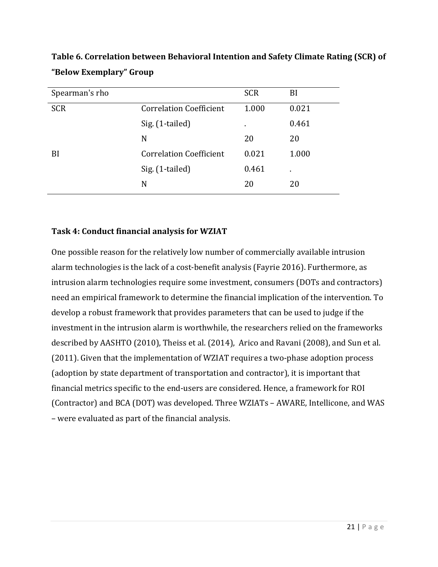| Spearman's rho |                                | <b>SCR</b> | BI    |
|----------------|--------------------------------|------------|-------|
| <b>SCR</b>     | <b>Correlation Coefficient</b> | 1.000      | 0.021 |
|                | Sig. (1-tailed)                |            | 0.461 |
|                | N                              | 20         | 20    |
| BI             | <b>Correlation Coefficient</b> | 0.021      | 1.000 |
|                | Sig. (1-tailed)                | 0.461      | ٠     |
|                | N                              | 20         | 20    |

**Table 6. Correlation between Behavioral Intention and Safety Climate Rating (SCR) of "Below Exemplary" Group**

#### **Task 4: Conduct financial analysis for WZIAT**

One possible reason for the relatively low number of commercially available intrusion alarm technologies is the lack of a cost-benefit analysis (Fayrie 2016). Furthermore, as intrusion alarm technologies require some investment, consumers (DOTs and contractors) need an empirical framework to determine the financial implication of the intervention. To develop a robust framework that provides parameters that can be used to judge if the investment in the intrusion alarm is worthwhile, the researchers relied on the frameworks described by AASHTO (2010), Theiss et al. (2014), Arico and Ravani (2008), and Sun et al. (2011). Given that the implementation of WZIAT requires a two-phase adoption process (adoption by state department of transportation and contractor), it is important that financial metrics specific to the end-users are considered. Hence, a framework for ROI (Contractor) and BCA (DOT) was developed. Three WZIATs - AWARE, Intellicone, and WAS – were evaluated as part of the financial analysis.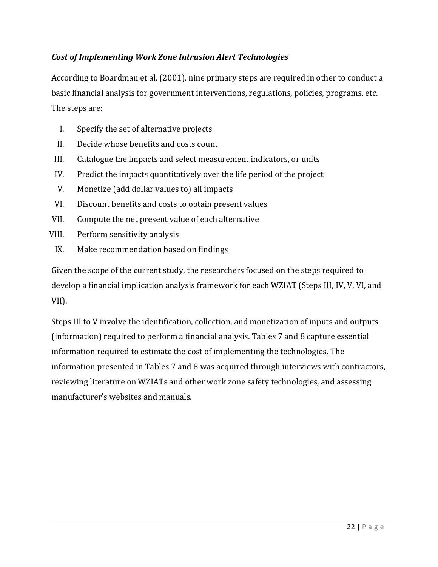#### *Cost of Implementing Work Zone Intrusion Alert Technologies*

According to Boardman et al. (2001), nine primary steps are required in other to conduct a basic financial analysis for government interventions, regulations, policies, programs, etc. The steps are:

- I. Specify the set of alternative projects
- II. Decide whose benefits and costs count
- III. Catalogue the impacts and select measurement indicators, or units
- IV. Predict the impacts quantitatively over the life period of the project
- V. Monetize (add dollar values to) all impacts
- VI. Discount benefits and costs to obtain present values
- VII. Compute the net present value of each alternative
- VIII. Perform sensitivity analysis
- IX. Make recommendation based on findings

Given the scope of the current study, the researchers focused on the steps required to develop a financial implication analysis framework for each WZIAT (Steps III, IV, V, VI, and VII). 

Steps III to V involve the identification, collection, and monetization of inputs and outputs (information) required to perform a financial analysis. Tables 7 and 8 capture essential information required to estimate the cost of implementing the technologies. The information presented in Tables 7 and 8 was acquired through interviews with contractors, reviewing literature on WZIATs and other work zone safety technologies, and assessing manufacturer's websites and manuals.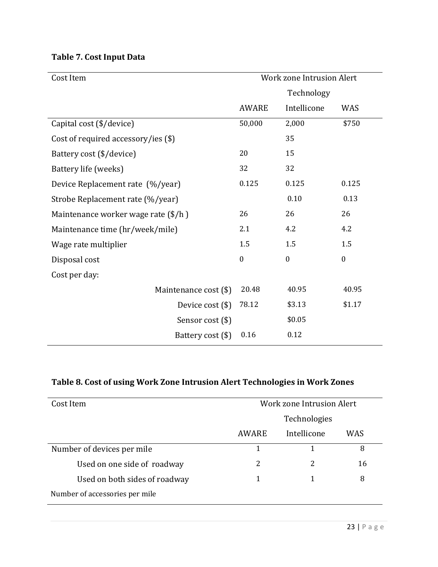| <b>Table 7. Cost Input Data</b> |  |  |
|---------------------------------|--|--|
|---------------------------------|--|--|

| Cost Item                                     |              | <b>Work zone Intrusion Alert</b> |                  |
|-----------------------------------------------|--------------|----------------------------------|------------------|
|                                               |              | Technology                       |                  |
|                                               | <b>AWARE</b> | Intellicone                      | <b>WAS</b>       |
| Capital cost (\$/device)                      | 50,000       | 2,000                            | \$750            |
| Cost of required accessory/ies (\$)           |              | 35                               |                  |
| Battery cost (\$/device)                      | 20           | 15                               |                  |
| Battery life (weeks)                          | 32           | 32                               |                  |
| Device Replacement rate (%/year)              | 0.125        | 0.125                            | 0.125            |
| Strobe Replacement rate (%/year)              |              | 0.10                             | 0.13             |
| Maintenance worker wage rate $(\frac{1}{2}h)$ | 26           | 26                               | 26               |
| Maintenance time (hr/week/mile)               | 2.1          | 4.2                              | 4.2              |
| Wage rate multiplier                          | 1.5          | 1.5                              | 1.5              |
| Disposal cost                                 | $\mathbf{0}$ | $\mathbf{0}$                     | $\boldsymbol{0}$ |
| Cost per day:                                 |              |                                  |                  |
| Maintenance cost (\$)                         | 20.48        | 40.95                            | 40.95            |
| Device cost $(\$)$                            | 78.12        | \$3.13                           | \$1.17           |
| Sensor cost (\$)                              |              | \$0.05                           |                  |
| Battery cost (\$)                             | 0.16         | 0.12                             |                  |

## **Table 8. Cost of using Work Zone Intrusion Alert Technologies in Work Zones**

| Cost Item                      | Work zone Intrusion Alert |             |            |  |
|--------------------------------|---------------------------|-------------|------------|--|
|                                | Technologies              |             |            |  |
|                                | AWARE                     | Intellicone | <b>WAS</b> |  |
| Number of devices per mile     |                           |             | 8          |  |
| Used on one side of roadway    | 2                         | 2           | 16         |  |
| Used on both sides of roadway  |                           |             | 8          |  |
| Number of accessories per mile |                           |             |            |  |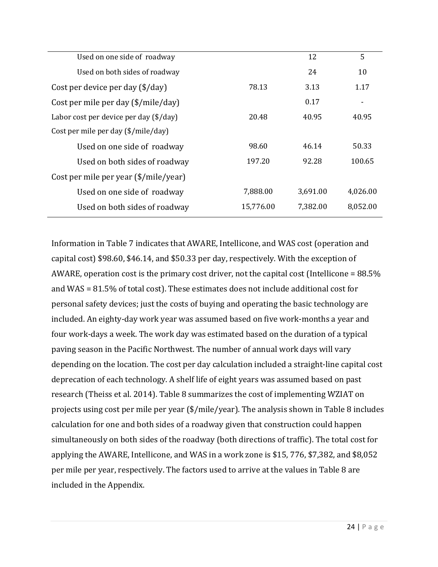| Used on one side of roadway               |           | 12       | 5        |
|-------------------------------------------|-----------|----------|----------|
| Used on both sides of roadway             |           | 24       | 10       |
| 78.13<br>Cost per device per day (\$/day) |           | 3.13     | 1.17     |
| Cost per mile per day (\$/mile/day)       |           | 0.17     | ۰        |
| Labor cost per device per day (\$/day)    | 20.48     | 40.95    | 40.95    |
| Cost per mile per day (\$/mile/day)       |           |          |          |
| Used on one side of roadway               | 98.60     | 46.14    | 50.33    |
| Used on both sides of roadway             | 197.20    | 92.28    | 100.65   |
| Cost per mile per year (\$/mile/year)     |           |          |          |
| Used on one side of roadway               | 7,888.00  | 3,691.00 | 4,026.00 |
| Used on both sides of roadway             | 15,776.00 | 7,382.00 | 8,052.00 |

Information in Table 7 indicates that AWARE, Intellicone, and WAS cost (operation and capital cost)  $$98.60, $46.14$ , and  $$50.33$  per day, respectively. With the exception of AWARE, operation cost is the primary cost driver, not the capital cost (Intellicone =  $88.5\%$ ) and WAS =  $81.5\%$  of total cost). These estimates does not include additional cost for personal safety devices; just the costs of buying and operating the basic technology are included. An eighty-day work year was assumed based on five work-months a year and four work-days a week. The work day was estimated based on the duration of a typical paving season in the Pacific Northwest. The number of annual work days will vary depending on the location. The cost per day calculation included a straight-line capital cost deprecation of each technology. A shelf life of eight years was assumed based on past research (Theiss et al. 2014). Table 8 summarizes the cost of implementing WZIAT on projects using cost per mile per year  $(\frac{s}{mid/2})$ . The analysis shown in Table 8 includes calculation for one and both sides of a roadway given that construction could happen simultaneously on both sides of the roadway (both directions of traffic). The total cost for applying the AWARE, Intellicone, and WAS in a work zone is \$15, 776, \$7,382, and \$8,052 per mile per year, respectively. The factors used to arrive at the values in Table 8 are included in the Appendix.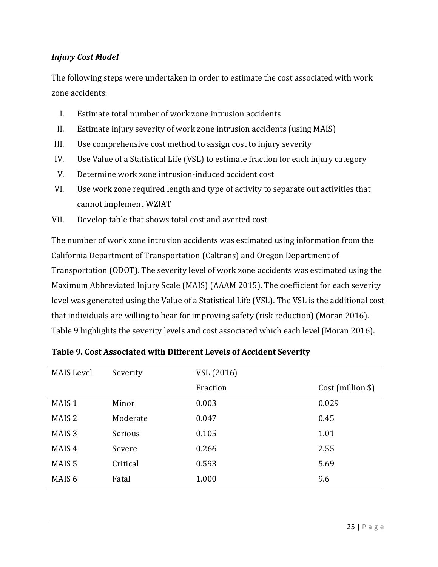#### *Injury Cost Model*

The following steps were undertaken in order to estimate the cost associated with work zone accidents:

- I. Estimate total number of work zone intrusion accidents
- II. Estimate injury severity of work zone intrusion accidents (using MAIS)
- III. Use comprehensive cost method to assign cost to injury severity
- IV. Use Value of a Statistical Life (VSL) to estimate fraction for each injury category
- V. Determine work zone intrusion-induced accident cost
- VI. Use work zone required length and type of activity to separate out activities that cannot implement WZIAT
- VII. Develop table that shows total cost and averted cost

The number of work zone intrusion accidents was estimated using information from the California Department of Transportation (Caltrans) and Oregon Department of Transportation (ODOT). The severity level of work zone accidents was estimated using the Maximum Abbreviated Injury Scale (MAIS) (AAAM 2015). The coefficient for each severity level was generated using the Value of a Statistical Life (VSL). The VSL is the additional cost that individuals are willing to bear for improving safety (risk reduction) (Moran 2016). Table 9 highlights the severity levels and cost associated which each level (Moran 2016).

| <b>MAIS Level</b> | Severity | VSL (2016) |                   |
|-------------------|----------|------------|-------------------|
|                   |          | Fraction   | Cost (million \$) |
| MAIS <sub>1</sub> | Minor    | 0.003      | 0.029             |
| MAIS <sub>2</sub> | Moderate | 0.047      | 0.45              |
| MAIS <sub>3</sub> | Serious  | 0.105      | 1.01              |
| MAIS <sub>4</sub> | Severe   | 0.266      | 2.55              |
| MAIS <sub>5</sub> | Critical | 0.593      | 5.69              |
| MAIS <sub>6</sub> | Fatal    | 1.000      | 9.6               |

**Table 9. Cost Associated with Different Levels of Accident Severity**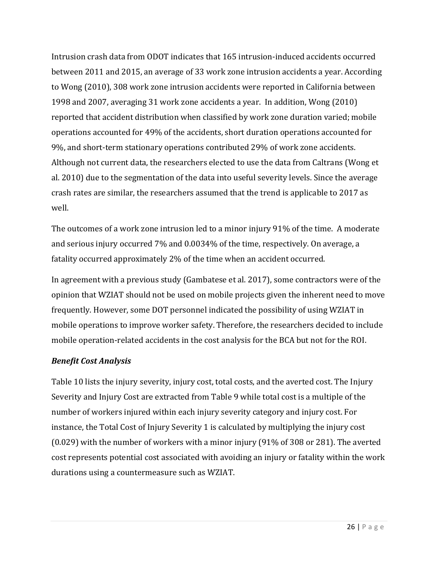Intrusion crash data from ODOT indicates that 165 intrusion-induced accidents occurred between 2011 and 2015, an average of 33 work zone intrusion accidents a year. According to Wong (2010), 308 work zone intrusion accidents were reported in California between 1998 and 2007, averaging 31 work zone accidents a year. In addition, Wong (2010) reported that accident distribution when classified by work zone duration varied; mobile operations accounted for 49% of the accidents, short duration operations accounted for 9%, and short-term stationary operations contributed 29% of work zone accidents. Although not current data, the researchers elected to use the data from Caltrans (Wong et al. 2010) due to the segmentation of the data into useful severity levels. Since the average crash rates are similar, the researchers assumed that the trend is applicable to 2017 as well. 

The outcomes of a work zone intrusion led to a minor injury 91% of the time. A moderate and serious injury occurred 7% and 0.0034% of the time, respectively. On average, a fatality occurred approximately 2% of the time when an accident occurred.

In agreement with a previous study (Gambatese et al. 2017), some contractors were of the opinion that WZIAT should not be used on mobile projects given the inherent need to move frequently. However, some DOT personnel indicated the possibility of using WZIAT in mobile operations to improve worker safety. Therefore, the researchers decided to include mobile operation-related accidents in the cost analysis for the BCA but not for the ROI.

## *Benefit Cost Analysis*

Table 10 lists the injury severity, injury cost, total costs, and the averted cost. The Injury Severity and Injury Cost are extracted from Table 9 while total cost is a multiple of the number of workers injured within each injury severity category and injury cost. For instance, the Total Cost of Injury Severity 1 is calculated by multiplying the injury cost  $(0.029)$  with the number of workers with a minor injury  $(91\%$  of 308 or 281). The averted cost represents potential cost associated with avoiding an injury or fatality within the work durations using a countermeasure such as WZIAT.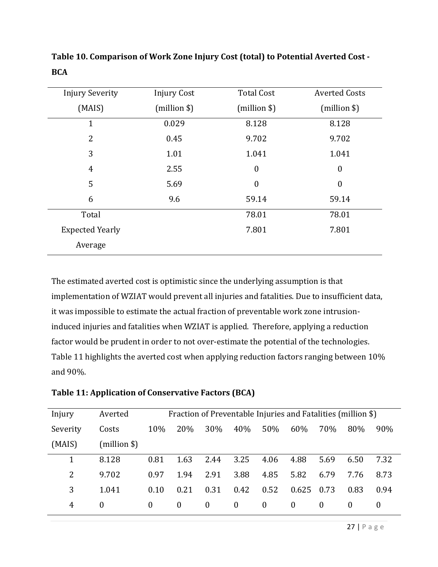| <b>Injury Severity</b> | <b>Injury Cost</b> | <b>Total Cost</b> | <b>Averted Costs</b> |
|------------------------|--------------------|-------------------|----------------------|
| (MAIS)                 | (million \$)       | $(million \$      | (million \$)         |
| $\mathbf 1$            | 0.029              | 8.128             | 8.128                |
| $\overline{2}$         | 0.45               | 9.702             | 9.702                |
| 3                      | 1.01               | 1.041             | 1.041                |
| $\overline{4}$         | 2.55               | $\boldsymbol{0}$  | $\boldsymbol{0}$     |
| 5                      | 5.69               | $\boldsymbol{0}$  | $\boldsymbol{0}$     |
| 6                      | 9.6                | 59.14             | 59.14                |
| Total                  |                    | 78.01             | 78.01                |
| <b>Expected Yearly</b> |                    | 7.801             | 7.801                |
| Average                |                    |                   |                      |

**Table 10. Comparison of Work Zone Injury Cost (total) to Potential Averted Cost ‐ BCA**

The estimated averted cost is optimistic since the underlying assumption is that implementation of WZIAT would prevent all injuries and fatalities. Due to insufficient data, it was impossible to estimate the actual fraction of preventable work zone intrusioninduced injuries and fatalities when WZIAT is applied. Therefore, applying a reduction factor would be prudent in order to not over-estimate the potential of the technologies. Table 11 highlights the averted cost when applying reduction factors ranging between 10% and 90%. 

| Table 11: Application of Conservative Factors (BCA) |  |  |
|-----------------------------------------------------|--|--|
|-----------------------------------------------------|--|--|

| Injury   | Averted      |          | Fraction of Preventable Injuries and Fatalities (million \$) |          |          |          |          |          |          |      |
|----------|--------------|----------|--------------------------------------------------------------|----------|----------|----------|----------|----------|----------|------|
| Severity | Costs        | 10%      | 20%                                                          | 30%      | 40%      | 50%      | 60%      | 70%      | 80%      | 90%  |
| (MAIS)   | (million \$) |          |                                                              |          |          |          |          |          |          |      |
|          | 8.128        | 0.81     | 1.63                                                         | 2.44     | 3.25     | 4.06     | 4.88     | 5.69     | 6.50     | 7.32 |
| 2        | 9.702        | 0.97     | 1.94                                                         | 2.91     | 3.88     | 4.85     | 5.82     | 6.79     | 7.76     | 8.73 |
| 3        | 1.041        | 0.10     | 0.21                                                         | 0.31     | 0.42     | 0.52     | 0.625    | 0.73     | 0.83     | 0.94 |
| 4        | $\Omega$     | $\theta$ | $\theta$                                                     | $\bf{0}$ | $\bf{0}$ | $\bf{0}$ | $\bf{0}$ | $\theta$ | $\theta$ | U    |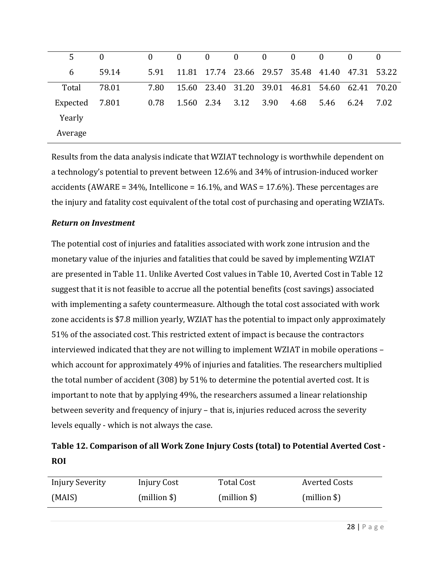| 5        | $\Omega$ | $\mathbf{0}$ | $\overline{0}$ | $\overline{0}$ | $\overline{0}$ | $\sim$ 0                | $\mathbf{0}$ | $\mathbf{0}$ | $\theta$                                  | $\Omega$ |
|----------|----------|--------------|----------------|----------------|----------------|-------------------------|--------------|--------------|-------------------------------------------|----------|
| 6        | 59.14    | 5.91         |                |                |                | 11.81 17.74 23.66 29.57 |              |              | 35.48 41.40 47.31 53.22                   |          |
| Total    | 78.01    | 7.80         |                |                |                |                         |              |              | 15.60 23.40 31.20 39.01 46.81 54.60 62.41 | 70.20    |
| Expected | 7.801    | 0.78         | 1.560 2.34     |                | 3.12           | 3.90                    | 4.68         | 5.46         | 6.24                                      | 7.02     |
| Yearly   |          |              |                |                |                |                         |              |              |                                           |          |
| Average  |          |              |                |                |                |                         |              |              |                                           |          |

Results from the data analysis indicate that WZIAT technology is worthwhile dependent on a technology's potential to prevent between 12.6% and 34% of intrusion-induced worker accidents (AWARE =  $34\%$ , Intellicone =  $16.1\%$ , and WAS =  $17.6\%$ ). These percentages are the injury and fatality cost equivalent of the total cost of purchasing and operating WZIATs.

### **Return** on **Investment**

The potential cost of injuries and fatalities associated with work zone intrusion and the monetary value of the injuries and fatalities that could be saved by implementing WZIAT are presented in Table 11. Unlike Averted Cost values in Table 10, Averted Cost in Table 12 suggest that it is not feasible to accrue all the potential benefits (cost savings) associated with implementing a safety countermeasure. Although the total cost associated with work zone accidents is \$7.8 million yearly, WZIAT has the potential to impact only approximately 51% of the associated cost. This restricted extent of impact is because the contractors interviewed indicated that they are not willing to implement WZIAT in mobile operations  $$ which account for approximately 49% of injuries and fatalities. The researchers multiplied the total number of accident  $(308)$  by  $51\%$  to determine the potential averted cost. It is important to note that by applying 49%, the researchers assumed a linear relationship between severity and frequency of injury – that is, injuries reduced across the severity levels equally - which is not always the case.

## **Table 12. Comparison of all Work Zone Injury Costs (total) to Potential Averted Cost ‐ ROI**

| <b>Injury Severity</b> | Injury Cost  | <b>Total Cost</b> | Averted Costs |
|------------------------|--------------|-------------------|---------------|
| (MAIS)                 | (million \$) | (million \$)      | (million \$)  |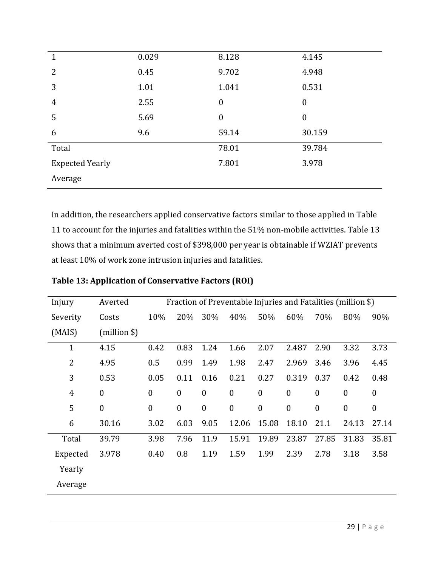| 1                      | 0.029 | 8.128            | 4.145            |
|------------------------|-------|------------------|------------------|
| $\overline{2}$         | 0.45  | 9.702            | 4.948            |
| 3                      | 1.01  | 1.041            | 0.531            |
| $\overline{4}$         | 2.55  | $\boldsymbol{0}$ | $\boldsymbol{0}$ |
| 5                      | 5.69  | $\boldsymbol{0}$ | $\boldsymbol{0}$ |
| 6                      | 9.6   | 59.14            | 30.159           |
| Total                  |       | 78.01            | 39.784           |
| <b>Expected Yearly</b> |       | 7.801            | 3.978            |
| Average                |       |                  |                  |

In addition, the researchers applied conservative factors similar to those applied in Table 11 to account for the injuries and fatalities within the 51% non-mobile activities. Table 13 shows that a minimum averted cost of \$398,000 per year is obtainable if WZIAT prevents at least 10% of work zone intrusion injuries and fatalities.

| Injury         | Averted          | Fraction of Preventable Injuries and Fatalities (million \$) |                  |                  |                  |                  |                  |                  |                  |                  |
|----------------|------------------|--------------------------------------------------------------|------------------|------------------|------------------|------------------|------------------|------------------|------------------|------------------|
| Severity       | Costs            | 10%                                                          | 20%              | 30%              | 40%              | 50%              | 60%              | 70%              | 80%              | 90%              |
| (MAIS)         | (million \$)     |                                                              |                  |                  |                  |                  |                  |                  |                  |                  |
| $\mathbf{1}$   | 4.15             | 0.42                                                         | 0.83             | 1.24             | 1.66             | 2.07             | 2.487            | 2.90             | 3.32             | 3.73             |
| $\overline{2}$ | 4.95             | 0.5                                                          | 0.99             | 1.49             | 1.98             | 2.47             | 2.969            | 3.46             | 3.96             | 4.45             |
| 3              | 0.53             | 0.05                                                         | 0.11             | 0.16             | 0.21             | 0.27             | 0.319            | 0.37             | 0.42             | 0.48             |
| $\overline{4}$ | $\boldsymbol{0}$ | $\boldsymbol{0}$                                             | $\boldsymbol{0}$ | $\boldsymbol{0}$ | $\boldsymbol{0}$ | $\boldsymbol{0}$ | $\boldsymbol{0}$ | $\boldsymbol{0}$ | $\boldsymbol{0}$ | $\boldsymbol{0}$ |
| 5              | $\boldsymbol{0}$ | $\boldsymbol{0}$                                             | $\boldsymbol{0}$ | $\boldsymbol{0}$ | $\boldsymbol{0}$ | $\boldsymbol{0}$ | $\boldsymbol{0}$ | $\boldsymbol{0}$ | $\boldsymbol{0}$ | $\boldsymbol{0}$ |
| 6              | 30.16            | 3.02                                                         | 6.03             | 9.05             | 12.06            | 15.08            | 18.10            | 21.1             | 24.13            | 27.14            |
| Total          | 39.79            | 3.98                                                         | 7.96             | 11.9             | 15.91            | 19.89            | 23.87            | 27.85            | 31.83            | 35.81            |
| Expected       | 3.978            | 0.40                                                         | 0.8              | 1.19             | 1.59             | 1.99             | 2.39             | 2.78             | 3.18             | 3.58             |
| Yearly         |                  |                                                              |                  |                  |                  |                  |                  |                  |                  |                  |
| Average        |                  |                                                              |                  |                  |                  |                  |                  |                  |                  |                  |

**Table 13: Application of Conservative Factors (ROI)**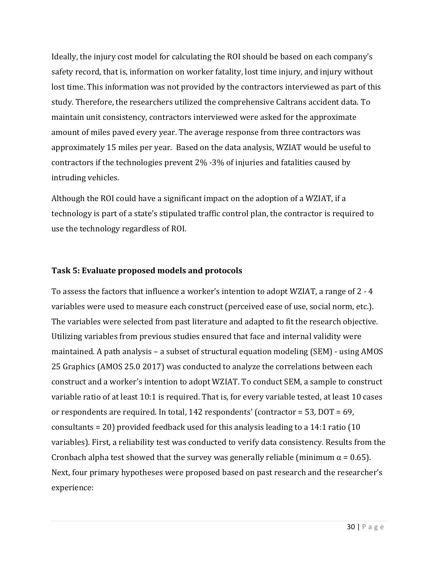Ideally, the injury cost model for calculating the ROI should be based on each company's safety record, that is, information on worker fatality, lost time injury, and injury without lost time. This information was not provided by the contractors interviewed as part of this study. Therefore, the researchers utilized the comprehensive Caltrans accident data. To maintain unit consistency, contractors interviewed were asked for the approximate amount of miles paved every year. The average response from three contractors was approximately 15 miles per year. Based on the data analysis, WZIAT would be useful to contractors if the technologies prevent  $2\%$  -3% of injuries and fatalities caused by intruding vehicles.

Although the ROI could have a significant impact on the adoption of a WZIAT, if a technology is part of a state's stipulated traffic control plan, the contractor is required to use the technology regardless of ROI.

### **Task 5: Evaluate proposed models and protocols**

To assess the factors that influence a worker's intention to adopt WZIAT, a range of  $2 - 4$ variables were used to measure each construct (perceived ease of use, social norm, etc.). The variables were selected from past literature and adapted to fit the research objective. Utilizing variables from previous studies ensured that face and internal validity were maintained. A path analysis – a subset of structural equation modeling  $(SEM)$  - using AMOS 25 Graphics (AMOS 25.0 2017) was conducted to analyze the correlations between each construct and a worker's intention to adopt WZIAT. To conduct SEM, a sample to construct variable ratio of at least 10:1 is required. That is, for every variable tested, at least 10 cases or respondents are required. In total, 142 respondents' (contractor = 53,  $DOT = 69$ , consultants = 20) provided feedback used for this analysis leading to a 14:1 ratio (10) variables). First, a reliability test was conducted to verify data consistency. Results from the Cronbach alpha test showed that the survey was generally reliable (minimum  $\alpha = 0.65$ ). Next, four primary hypotheses were proposed based on past research and the researcher's experience: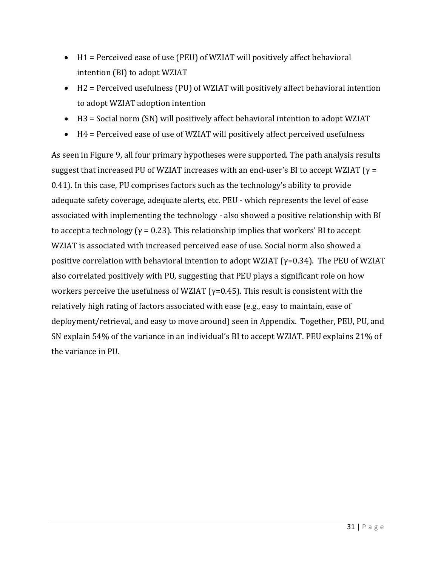- $\bullet$  H1 = Perceived ease of use (PEU) of WZIAT will positively affect behavioral intention (BI) to adopt WZIAT
- $\bullet$  H2 = Perceived usefulness (PU) of WZIAT will positively affect behavioral intention to adopt WZIAT adoption intention
- $H3 =$  Social norm (SN) will positively affect behavioral intention to adopt WZIAT
- $\bullet$  H4 = Perceived ease of use of WZIAT will positively affect perceived usefulness

As seen in Figure 9, all four primary hypotheses were supported. The path analysis results suggest that increased PU of WZIAT increases with an end-user's BI to accept WZIAT ( $\gamma$  = 0.41). In this case, PU comprises factors such as the technology's ability to provide adequate safety coverage, adequate alerts, etc. PEU - which represents the level of ease associated with implementing the technology - also showed a positive relationship with BI to accept a technology ( $\gamma$  = 0.23). This relationship implies that workers' BI to accept WZIAT is associated with increased perceived ease of use. Social norm also showed a positive correlation with behavioral intention to adopt WZIAT ( $\gamma$ =0.34). The PEU of WZIAT also correlated positively with PU, suggesting that PEU plays a significant role on how workers perceive the usefulness of WZIAT  $(y=0.45)$ . This result is consistent with the relatively high rating of factors associated with ease (e.g., easy to maintain, ease of deployment/retrieval, and easy to move around) seen in Appendix. Together, PEU, PU, and SN explain 54% of the variance in an individual's BI to accept WZIAT. PEU explains 21% of the variance in PU.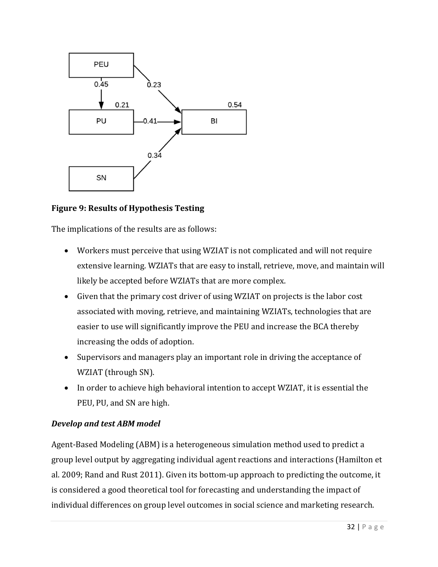

### **Figure 9: Results of Hypothesis Testing**

The implications of the results are as follows:

- Workers must perceive that using WZIAT is not complicated and will not require extensive learning. WZIATs that are easy to install, retrieve, move, and maintain will likely be accepted before WZIATs that are more complex.
- Given that the primary cost driver of using WZIAT on projects is the labor cost associated with moving, retrieve, and maintaining WZIATs, technologies that are easier to use will significantly improve the PEU and increase the BCA thereby increasing the odds of adoption.
- Supervisors and managers play an important role in driving the acceptance of WZIAT (through SN).
- In order to achieve high behavioral intention to accept WZIAT, it is essential the PEU, PU, and SN are high.

#### *Develop and test ABM model*

Agent-Based Modeling (ABM) is a heterogeneous simulation method used to predict a group level output by aggregating individual agent reactions and interactions (Hamilton et al. 2009; Rand and Rust 2011). Given its bottom-up approach to predicting the outcome, it is considered a good theoretical tool for forecasting and understanding the impact of individual differences on group level outcomes in social science and marketing research.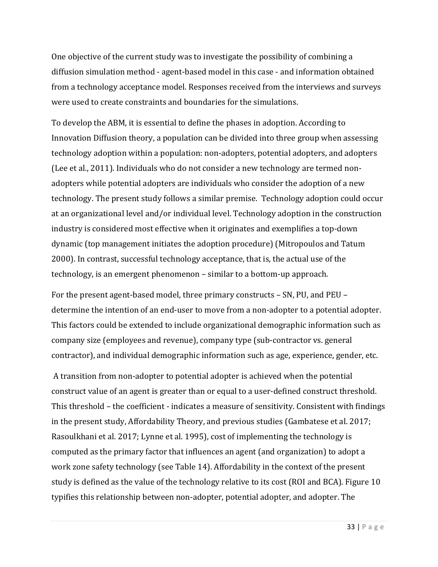One objective of the current study was to investigate the possibility of combining a diffusion simulation method - agent-based model in this case - and information obtained from a technology acceptance model. Responses received from the interviews and surveys were used to create constraints and boundaries for the simulations.

To develop the ABM, it is essential to define the phases in adoption. According to Innovation Diffusion theory, a population can be divided into three group when assessing technology adoption within a population: non-adopters, potential adopters, and adopters (Lee et al., 2011). Individuals who do not consider a new technology are termed nonadopters while potential adopters are individuals who consider the adoption of a new technology. The present study follows a similar premise. Technology adoption could occur at an organizational level and/or individual level. Technology adoption in the construction industry is considered most effective when it originates and exemplifies a top-down dynamic (top management initiates the adoption procedure) (Mitropoulos and Tatum 2000). In contrast, successful technology acceptance, that is, the actual use of the technology, is an emergent phenomenon – similar to a bottom-up approach.

For the present agent-based model, three primary constructs - SN, PU, and PEU determine the intention of an end-user to move from a non-adopter to a potential adopter. This factors could be extended to include organizational demographic information such as company size (employees and revenue), company type (sub-contractor vs. general contractor), and individual demographic information such as age, experience, gender, etc.

A transition from non-adopter to potential adopter is achieved when the potential construct value of an agent is greater than or equal to a user-defined construct threshold. This threshold – the coefficient - indicates a measure of sensitivity. Consistent with findings in the present study, Affordability Theory, and previous studies (Gambatese et al. 2017; Rasoulkhani et al. 2017; Lynne et al. 1995), cost of implementing the technology is computed as the primary factor that influences an agent (and organization) to adopt a work zone safety technology (see Table 14). Affordability in the context of the present study is defined as the value of the technology relative to its cost (ROI and BCA). Figure 10 typifies this relationship between non-adopter, potential adopter, and adopter. The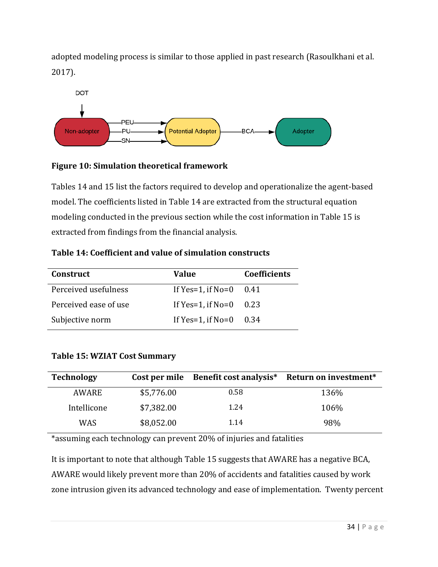adopted modeling process is similar to those applied in past research (Rasoulkhani et al. 2017). 



## **Figure 10: Simulation theoretical framework**

Tables 14 and 15 list the factors required to develop and operationalize the agent-based model. The coefficients listed in Table 14 are extracted from the structural equation modeling conducted in the previous section while the cost information in Table 15 is extracted from findings from the financial analysis.

| <b>Construct</b>      | Value                  | <b>Coefficients</b> |  |  |
|-----------------------|------------------------|---------------------|--|--|
| Perceived usefulness  | If $Yes=1$ , if $No=0$ | 0.41                |  |  |
| Perceived ease of use | If $Yes=1$ , if $No=0$ | 0.23                |  |  |
| Subjective norm       | If $Yes=1$ , if $No=0$ | 0.34                |  |  |

## **Table 14: Coefficient and value of simulation constructs**

## **Table 15: WZIAT Cost Summary**

| <b>Technology</b> | Cost per mile | Benefit cost analysis* | Return on investment* |
|-------------------|---------------|------------------------|-----------------------|
| <b>AWARE</b>      | \$5,776.00    | 0.58                   | 136%                  |
| Intellicone       | \$7,382.00    | 1.24                   | 106%                  |
| WAS               | \$8,052.00    | 1.14                   | 98%                   |

\*assuming each technology can prevent 20% of injuries and fatalities

It is important to note that although Table 15 suggests that AWARE has a negative BCA, AWARE would likely prevent more than 20% of accidents and fatalities caused by work zone intrusion given its advanced technology and ease of implementation. Twenty percent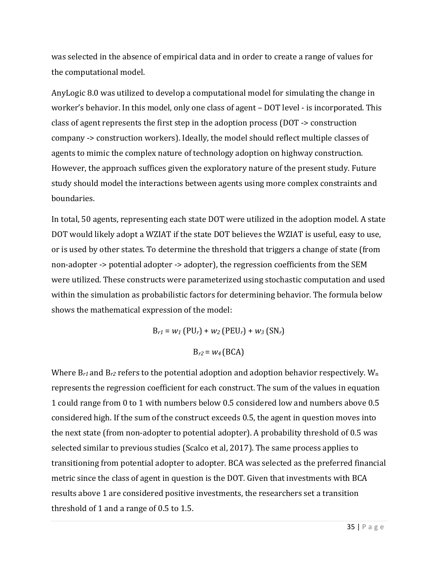was selected in the absence of empirical data and in order to create a range of values for the computational model.

AnyLogic 8.0 was utilized to develop a computational model for simulating the change in worker's behavior. In this model, only one class of agent – DOT level - is incorporated. This class of agent represents the first step in the adoption process ( $DOT \rightarrow$  construction company -> construction workers). Ideally, the model should reflect multiple classes of agents to mimic the complex nature of technology adoption on highway construction. However, the approach suffices given the exploratory nature of the present study. Future study should model the interactions between agents using more complex constraints and boundaries. 

In total, 50 agents, representing each state DOT were utilized in the adoption model. A state DOT would likely adopt a WZIAT if the state DOT believes the WZIAT is useful, easy to use, or is used by other states. To determine the threshold that triggers a change of state (from non-adopter -> potential adopter -> adopter), the regression coefficients from the SEM were utilized. These constructs were parameterized using stochastic computation and used within the simulation as probabilistic factors for determining behavior. The formula below shows the mathematical expression of the model:

> $B_{r1} = w_1 (PU_r) + w_2 (PEU_r) + w_3 (SN_r)$  $B_{r2} = W_4$  (BCA)

Where  $B_{r1}$  and  $B_{r2}$  refers to the potential adoption and adoption behavior respectively.  $W_n$ represents the regression coefficient for each construct. The sum of the values in equation 1 could range from 0 to 1 with numbers below 0.5 considered low and numbers above 0.5 considered high. If the sum of the construct exceeds 0.5, the agent in question moves into the next state (from non-adopter to potential adopter). A probability threshold of 0.5 was selected similar to previous studies (Scalco et al, 2017). The same process applies to transitioning from potential adopter to adopter. BCA was selected as the preferred financial metric since the class of agent in question is the DOT. Given that investments with BCA results above 1 are considered positive investments, the researchers set a transition threshold of 1 and a range of  $0.5$  to  $1.5$ .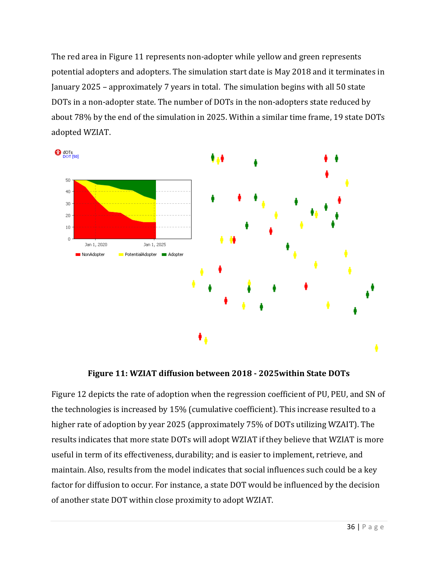The red area in Figure 11 represents non-adopter while yellow and green represents potential adopters and adopters. The simulation start date is May 2018 and it terminates in January 2025 – approximately 7 years in total. The simulation begins with all 50 state DOTs in a non-adopter state. The number of DOTs in the non-adopters state reduced by about 78% by the end of the simulation in 2025. Within a similar time frame, 19 state DOTs adopted WZIAT.



**Figure 11: WZIAT diffusion between 2018 ‐ 2025within State DOTs**

Figure 12 depicts the rate of adoption when the regression coefficient of PU, PEU, and SN of the technologies is increased by 15% (cumulative coefficient). This increase resulted to a higher rate of adoption by year 2025 (approximately 75% of DOTs utilizing WZAIT). The results indicates that more state DOTs will adopt WZIAT if they believe that WZIAT is more useful in term of its effectiveness, durability; and is easier to implement, retrieve, and maintain. Also, results from the model indicates that social influences such could be a key factor for diffusion to occur. For instance, a state DOT would be influenced by the decision of another state DOT within close proximity to adopt WZIAT.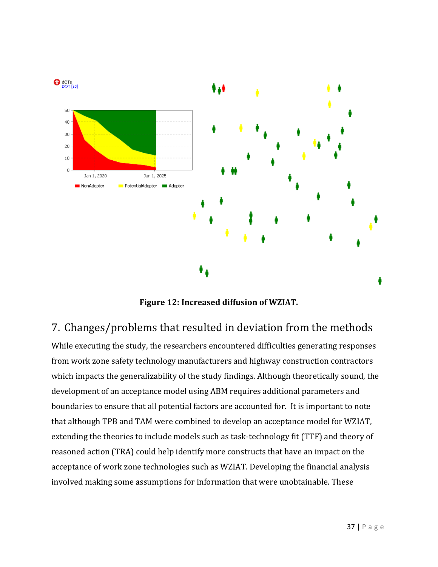

**Figure 12: Increased diffusion of WZIAT.**

# 7. Changes/problems that resulted in deviation from the methods

While executing the study, the researchers encountered difficulties generating responses from work zone safety technology manufacturers and highway construction contractors which impacts the generalizability of the study findings. Although theoretically sound, the development of an acceptance model using ABM requires additional parameters and boundaries to ensure that all potential factors are accounted for. It is important to note that although TPB and TAM were combined to develop an acceptance model for WZIAT, extending the theories to include models such as task-technology fit (TTF) and theory of reasoned action (TRA) could help identify more constructs that have an impact on the acceptance of work zone technologies such as WZIAT. Developing the financial analysis involved making some assumptions for information that were unobtainable. These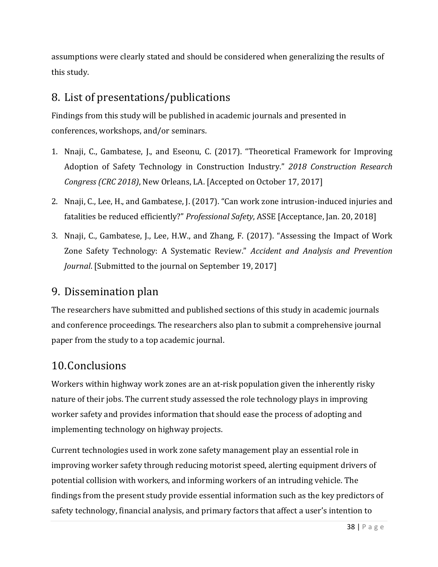assumptions were clearly stated and should be considered when generalizing the results of this study.

# 8. List of presentations/publications

Findings from this study will be published in academic journals and presented in conferences, workshops, and/or seminars.

- 1. Nnaji, C., Gambatese, J., and Eseonu, C. (2017). "Theoretical Framework for Improving Adoption of Safety Technology in Construction Industry." *2018 Construction Research Congress (CRC 2018)*, New Orleans, LA. [Accepted on October 17, 2017]
- 2. Nnaji, C., Lee, H., and Gambatese, J. (2017). "Can work zone intrusion-induced injuries and fatalities be reduced efficiently?" *Professional Safety*, ASSE [Acceptance, Jan. 20, 2018]
- 3. Nnaji, C., Gambatese, J., Lee, H.W., and Zhang, F. (2017). "Assessing the Impact of Work Zone Safety Technology: A Systematic Review." *Accident and Analysis and Prevention Journal.* [Submitted to the journal on September 19, 2017]

## 9. Dissemination plan

The researchers have submitted and published sections of this study in academic journals and conference proceedings. The researchers also plan to submit a comprehensive journal paper from the study to a top academic journal.

# 10.Conclusions

Workers within highway work zones are an at-risk population given the inherently risky nature of their jobs. The current study assessed the role technology plays in improving worker safety and provides information that should ease the process of adopting and implementing technology on highway projects.

Current technologies used in work zone safety management play an essential role in improving worker safety through reducing motorist speed, alerting equipment drivers of potential collision with workers, and informing workers of an intruding vehicle. The findings from the present study provide essential information such as the key predictors of safety technology, financial analysis, and primary factors that affect a user's intention to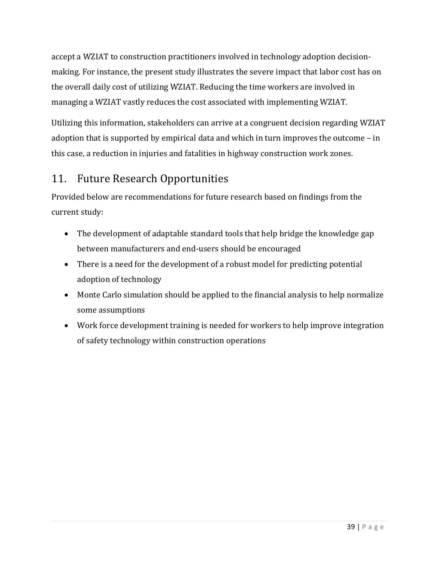accept a WZIAT to construction practitioners involved in technology adoption decisionmaking. For instance, the present study illustrates the severe impact that labor cost has on the overall daily cost of utilizing WZIAT. Reducing the time workers are involved in managing a WZIAT vastly reduces the cost associated with implementing WZIAT.

Utilizing this information, stakeholders can arrive at a congruent decision regarding WZIAT adoption that is supported by empirical data and which in turn improves the outcome  $-$  in this case, a reduction in injuries and fatalities in highway construction work zones.

# 11. Future Research Opportunities

Provided below are recommendations for future research based on findings from the current study:

- The development of adaptable standard tools that help bridge the knowledge gap between manufacturers and end-users should be encouraged
- $\bullet$  There is a need for the development of a robust model for predicting potential adoption of technology
- Monte Carlo simulation should be applied to the financial analysis to help normalize some assumptions
- Work force development training is needed for workers to help improve integration of safety technology within construction operations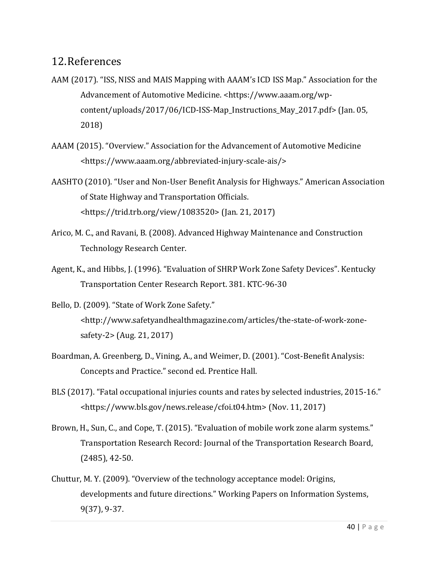## 12.References

- AAM (2017). "ISS, NISS and MAIS Mapping with AAAM's ICD ISS Map." Association for the Advancement of Automotive Medicine. <https://www.aaam.org/wpcontent/uploads/2017/06/ICD-ISS-Map\_Instructions\_May\_2017.pdf> (Jan. 05, 2018)
- AAAM (2015). "Overview." Association for the Advancement of Automotive Medicine <https://www.aaam.org/abbreviated‐injury‐scale‐ais/>
- AASHTO (2010). "User and Non-User Benefit Analysis for Highways." American Association of State Highway and Transportation Officials. <https://trid.trb.org/view/1083520> (Jan. 21, 2017)
- Arico, M. C., and Ravani, B. (2008). Advanced Highway Maintenance and Construction Technology Research Center.
- Agent, K., and Hibbs, J. (1996). "Evaluation of SHRP Work Zone Safety Devices". Kentucky Transportation Center Research Report. 381. KTC-96-30
- Bello, D. (2009). "State of Work Zone Safety." <http://www.safetyandhealthmagazine.com/articles/the‐state‐of‐work‐zone‐  $safety-2$  (Aug. 21, 2017)
- Boardman, A. Greenberg, D., Vining, A., and Weimer, D. (2001). "Cost-Benefit Analysis: Concepts and Practice." second ed. Prentice Hall.
- BLS (2017). "Fatal occupational injuries counts and rates by selected industries, 2015-16." <https://www.bls.gov/news.release/cfoi.t04.htm> (Nov. 11, 2017)
- Brown, H., Sun, C., and Cope, T. (2015). "Evaluation of mobile work zone alarm systems." Transportation Research Record: Journal of the Transportation Research Board,  $(2485)$ , 42-50.
- Chuttur, M. Y. (2009). "Overview of the technology acceptance model: Origins, developments and future directions." Working Papers on Information Systems, 9(37), 9‐37.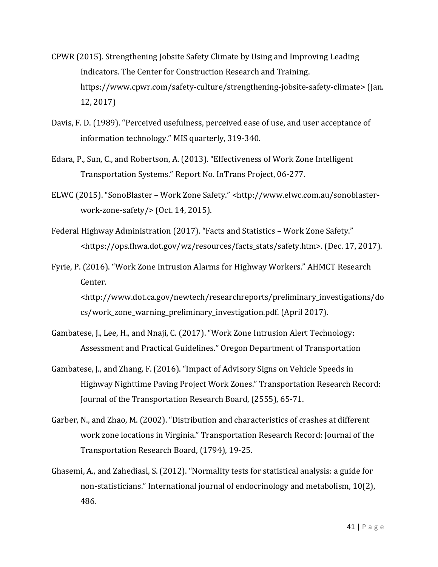- CPWR (2015). Strengthening Jobsite Safety Climate by Using and Improving Leading Indicators. The Center for Construction Research and Training. https://www.cpwr.com/safety-culture/strengthening-jobsite-safety-climate> (Jan. 12, 2017)
- Davis, F. D. (1989). "Perceived usefulness, perceived ease of use, and user acceptance of information technology." MIS quarterly, 319-340.
- Edara, P., Sun, C., and Robertson, A. (2013). "Effectiveness of Work Zone Intelligent Transportation Systems." Report No. InTrans Project, 06-277.
- ELWC (2015). "SonoBlaster Work Zone Safety." <http://www.elwc.com.au/sonoblasterwork-zone-safety/ $>$  (Oct. 14, 2015).
- Federal Highway Administration (2017). "Facts and Statistics Work Zone Safety." <https://ops.fhwa.dot.gov/wz/resources/facts\_stats/safety.htm>. (Dec. 17, 2017).
- Fyrie, P. (2016). "Work Zone Intrusion Alarms for Highway Workers." AHMCT Research Center. <http://www.dot.ca.gov/newtech/researchreports/preliminary\_investigations/do cs/work\_zone\_warning\_preliminary\_investigation.pdf. (April 2017).
- Gambatese, J., Lee, H., and Nnaji, C. (2017). "Work Zone Intrusion Alert Technology: Assessment and Practical Guidelines." Oregon Department of Transportation
- Gambatese, J., and Zhang, F. (2016). "Impact of Advisory Signs on Vehicle Speeds in Highway Nighttime Paving Project Work Zones." Transportation Research Record: Journal of the Transportation Research Board, (2555), 65-71.
- Garber, N., and Zhao, M. (2002). "Distribution and characteristics of crashes at different work zone locations in Virginia." Transportation Research Record: Journal of the Transportation Research Board, (1794), 19-25.
- Ghasemi, A., and Zahediasl, S. (2012). "Normality tests for statistical analysis: a guide for non-statisticians." International journal of endocrinology and metabolism,  $10(2)$ , 486.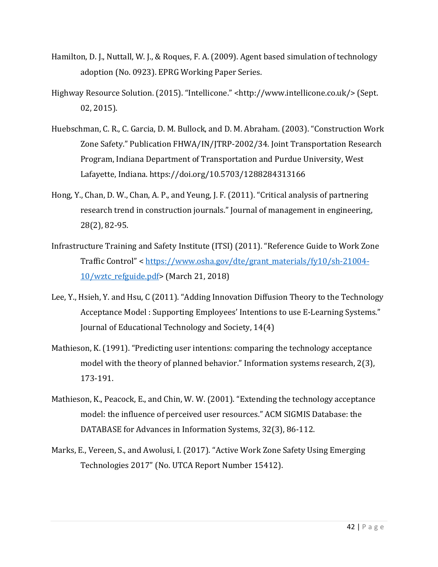- Hamilton, D. J., Nuttall, W. J., & Roques, F. A. (2009). Agent based simulation of technology adoption (No. 0923). EPRG Working Paper Series.
- Highway Resource Solution. (2015). "Intellicone." <http://www.intellicone.co.uk/> (Sept. 02, 2015).
- Huebschman, C. R., C. Garcia, D. M. Bullock, and D. M. Abraham. (2003). "Construction Work Zone Safety." Publication FHWA/IN/JTRP-2002/34. Joint Transportation Research Program, Indiana Department of Transportation and Purdue University, West Lafayette, Indiana. https://doi.org/10.5703/1288284313166
- Hong, Y., Chan, D. W., Chan, A. P., and Yeung, J. F. (2011). "Critical analysis of partnering research trend in construction journals." Journal of management in engineering, 28(2), 82‐95.
- Infrastructure Training and Safety Institute (ITSI) (2011). "Reference Guide to Work Zone Traffic Control" < https://www.osha.gov/dte/grant\_materials/fy10/sh-21004-10/wztc\_refguide.pdf> (March 21, 2018)
- Lee, Y., Hsieh, Y. and Hsu, C (2011). "Adding Innovation Diffusion Theory to the Technology Acceptance Model : Supporting Employees' Intentions to use E-Learning Systems." Journal of Educational Technology and Society, 14(4)
- Mathieson, K. (1991). "Predicting user intentions: comparing the technology acceptance model with the theory of planned behavior." Information systems research, 2(3), 173‐191.
- Mathieson, K., Peacock, E., and Chin, W. W. (2001). "Extending the technology acceptance model: the influence of perceived user resources." ACM SIGMIS Database: the DATABASE for Advances in Information Systems, 32(3), 86-112.
- Marks, E., Vereen, S., and Awolusi, I. (2017). "Active Work Zone Safety Using Emerging Technologies 2017" (No. UTCA Report Number 15412).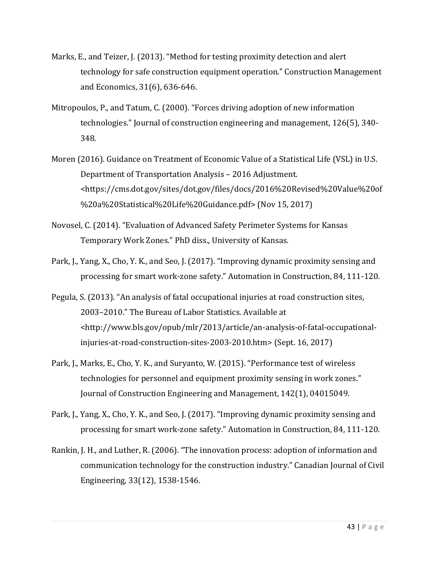- Marks, E., and Teizer, J. (2013). "Method for testing proximity detection and alert technology for safe construction equipment operation." Construction Management and Economics, 31(6), 636-646.
- Mitropoulos, P., and Tatum, C.  $(2000)$ . "Forces driving adoption of new information technologies." Journal of construction engineering and management, 126(5), 340-348.
- Moren (2016). Guidance on Treatment of Economic Value of a Statistical Life (VSL) in U.S. Department of Transportation Analysis - 2016 Adjustment. <https://cms.dot.gov/sites/dot.gov/files/docs/2016%20Revised%20Value%20of %20a%20Statistical%20Life%20Guidance.pdf> (Nov 15, 2017)
- Novosel, C. (2014). "Evaluation of Advanced Safety Perimeter Systems for Kansas Temporary Work Zones." PhD diss., University of Kansas.
- Park, J., Yang, X., Cho, Y. K., and Seo, J. (2017). "Improving dynamic proximity sensing and processing for smart work-zone safety." Automation in Construction, 84, 111-120.
- Pegula, S. (2013). "An analysis of fatal occupational injuries at road construction sites, 2003–2010." The Bureau of Labor Statistics. Available at <http://www.bls.gov/opub/mlr/2013/article/an‐analysis‐of‐fatal‐occupational‐ injuries-at-road-construction-sites-2003-2010.htm> (Sept. 16, 2017)
- Park, J., Marks, E., Cho, Y. K., and Suryanto, W. (2015). "Performance test of wireless technologies for personnel and equipment proximity sensing in work zones." Journal of Construction Engineering and Management, 142(1), 04015049.
- Park, J., Yang, X., Cho, Y. K., and Seo, J. (2017). "Improving dynamic proximity sensing and processing for smart work-zone safety." Automation in Construction, 84, 111-120.
- Rankin, J. H., and Luther, R. (2006). "The innovation process: adoption of information and communication technology for the construction industry." Canadian Journal of Civil Engineering, 33(12), 1538-1546.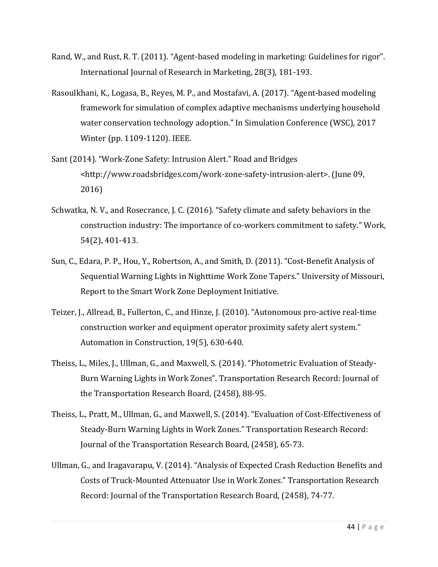- Rand, W., and Rust, R. T. (2011). "Agent-based modeling in marketing: Guidelines for rigor". International Journal of Research in Marketing, 28(3), 181-193.
- Rasoulkhani, K., Logasa, B., Reyes, M. P., and Mostafavi, A. (2017). "Agent-based modeling framework for simulation of complex adaptive mechanisms underlying household water conservation technology adoption." In Simulation Conference (WSC), 2017 Winter (pp. 1109-1120). IEEE.
- Sant (2014). "Work-Zone Safety: Intrusion Alert." Road and Bridges <http://www.roadsbridges.com/work‐zone‐safety‐intrusion‐alert>. (June 09, 2016)
- Schwatka, N. V., and Rosecrance, J. C. (2016). "Safety climate and safety behaviors in the construction industry: The importance of co-workers commitment to safety." Work, 54(2), 401-413.
- Sun, C., Edara, P. P., Hou, Y., Robertson, A., and Smith, D. (2011). "Cost-Benefit Analysis of Sequential Warning Lights in Nighttime Work Zone Tapers." University of Missouri, Report to the Smart Work Zone Deployment Initiative.
- Teizer, J., Allread, B., Fullerton, C., and Hinze, J. (2010). "Autonomous pro-active real-time construction worker and equipment operator proximity safety alert system." Automation in Construction, 19(5), 630-640.
- Theiss, L., Miles, J., Ullman, G., and Maxwell, S. (2014). "Photometric Evaluation of Steady-Burn Warning Lights in Work Zones". Transportation Research Record: Journal of the Transportation Research Board, (2458), 88-95.
- Theiss, L., Pratt, M., Ullman, G., and Maxwell, S. (2014). "Evaluation of Cost-Effectiveness of Steady-Burn Warning Lights in Work Zones." Transportation Research Record: Journal of the Transportation Research Board, (2458), 65-73.
- Ullman, G., and Iragavarapu, V. (2014). "Analysis of Expected Crash Reduction Benefits and Costs of Truck-Mounted Attenuator Use in Work Zones." Transportation Research Record: Journal of the Transportation Research Board, (2458), 74-77.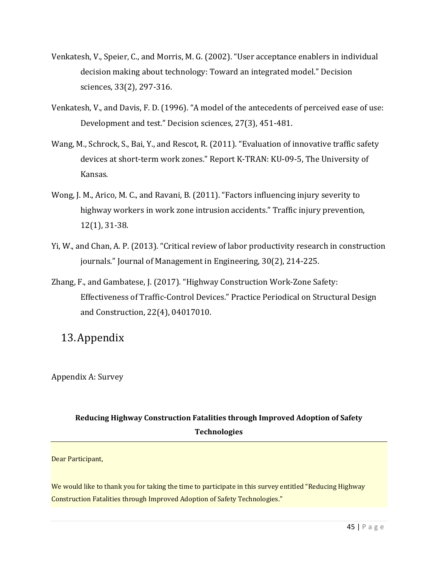- Venkatesh, V., Speier, C., and Morris, M. G. (2002). "User acceptance enablers in individual decision making about technology: Toward an integrated model." Decision sciences, 33(2), 297-316.
- Venkatesh, V., and Davis, F. D. (1996). "A model of the antecedents of perceived ease of use: Development and test." Decision sciences, 27(3), 451-481.
- Wang, M., Schrock, S., Bai, Y., and Rescot, R. (2011). "Evaluation of innovative traffic safety devices at short-term work zones." Report K-TRAN: KU-09-5, The University of Kansas.
- Wong, J. M., Arico, M. C., and Ravani, B. (2011). "Factors influencing injury severity to highway workers in work zone intrusion accidents." Traffic injury prevention,  $12(1)$ , 31-38.
- Yi, W., and Chan, A. P. (2013). "Critical review of labor productivity research in construction journals." Journal of Management in Engineering, 30(2), 214-225.
- Zhang, F., and Gambatese, J. (2017). "Highway Construction Work-Zone Safety: Effectiveness of Traffic‐Control Devices." Practice Periodical on Structural Design and Construction, 22(4), 04017010.

## 13.Appendix

Appendix A: Survey 

## **Reducing Highway Construction Fatalities through Improved Adoption of Safety Technologies**

Dear Participant,

We would like to thank you for taking the time to participate in this survey entitled "Reducing Highway" Construction Fatalities through Improved Adoption of Safety Technologies."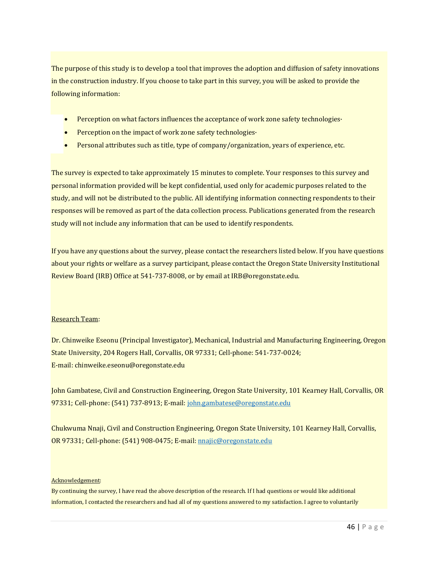The purpose of this study is to develop a tool that improves the adoption and diffusion of safety innovations in the construction industry. If you choose to take part in this survey, you will be asked to provide the following information:

- Perception on what factors influences the acceptance of work zone safety technologies·
- Perception on the impact of work zone safety technologies $\cdot$
- Personal attributes such as title, type of company/organization, years of experience, etc.

The survey is expected to take approximately 15 minutes to complete. Your responses to this survey and personal information provided will be kept confidential, used only for academic purposes related to the study, and will not be distributed to the public. All identifying information connecting respondents to their responses will be removed as part of the data collection process. Publications generated from the research study will not include any information that can be used to identify respondents.

If you have any questions about the survey, please contact the researchers listed below. If you have questions about your rights or welfare as a survey participant, please contact the Oregon State University Institutional Review Board (IRB) Office at 541-737-8008, or by email at IRB@oregonstate.edu.

#### Research Team:

Dr. Chinweike Eseonu (Principal Investigator), Mechanical, Industrial and Manufacturing Engineering, Oregon State University, 204 Rogers Hall, Corvallis, OR 97331; Cell-phone: 541-737-0024; E‐mail: chinweike.eseonu@oregonstate.edu 

John Gambatese, Civil and Construction Engineering, Oregon State University, 101 Kearney Hall, Corvallis, OR 97331; Cell-phone: (541) 737-8913; E-mail: john.gambatese@oregonstate.edu

Chukwuma Nnaji, Civil and Construction Engineering, Oregon State University, 101 Kearney Hall, Corvallis, OR 97331; Cell-phone: (541) 908-0475; E-mail: nnajic@oregonstate.edu

#### Acknowledgement:

By continuing the survey, I have read the above description of the research. If I had questions or would like additional information, I contacted the researchers and had all of my questions answered to my satisfaction. I agree to voluntarily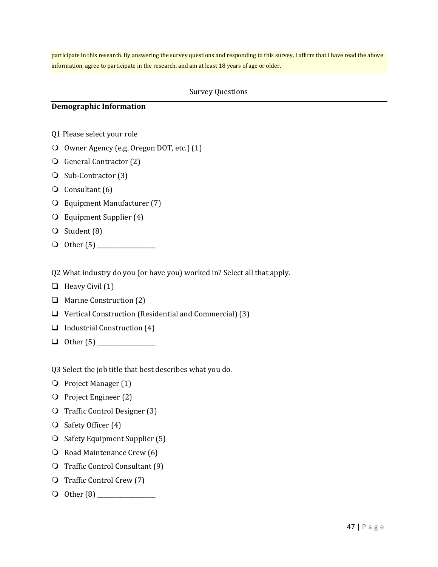participate in this research. By answering the survey questions and responding to this survey, I affirm that I have read the above information, agree to participate in the research, and am at least 18 years of age or older.

#### Survey Questions

#### **Demographic Information**

- Q1 Please select your role
- O Owner Agency (e.g. Oregon DOT, etc.) (1)
- **General Contractor (2)**
- O Sub-Contractor (3)
- $\overline{Q}$  Consultant (6)
- O Equipment Manufacturer (7)
- $\overline{Q}$  Equipment Supplier (4)
- $\bigcirc$  Student (8)
- $\bigcirc$  0ther (5)

Q2 What industry do you (or have you) worked in? Select all that apply.

- $\Box$  Heavy Civil (1)
- $\Box$  Marine Construction (2)
- $\Box$  Vertical Construction (Residential and Commercial) (3)
- $\Box$  Industrial Construction (4)
- Other (5) \_\_\_\_\_\_\_\_\_\_\_\_\_\_\_\_\_\_\_\_

Q3 Select the job title that best describes what you do.

- **O** Project Manager (1)
- O Project Engineer (2)
- **Q** Traffic Control Designer (3)
- O Safety Officer (4)
- $\bigcirc$  Safety Equipment Supplier (5)
- O Road Maintenance Crew (6)
- $\overline{O}$  Traffic Control Consultant (9)
- O Traffic Control Crew (7)
- Other (8) \_\_\_\_\_\_\_\_\_\_\_\_\_\_\_\_\_\_\_\_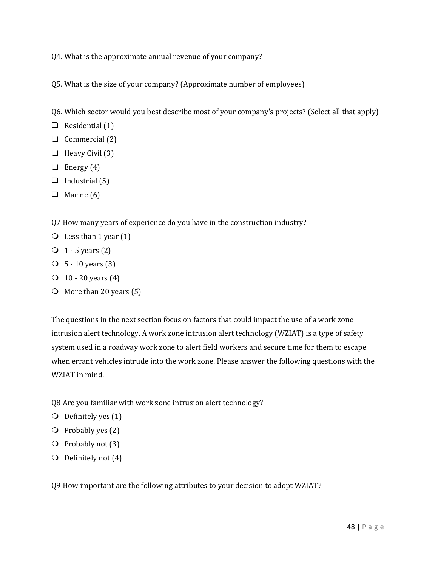Q4. What is the approximate annual revenue of your company?

Q5. What is the size of your company? (Approximate number of employees)

- Q6. Which sector would you best describe most of your company's projects? (Select all that apply)
- $\Box$  Residential (1)
- $\Box$  Commercial (2)
- $\Box$  Heavy Civil (3)
- $\Box$  Energy (4)
- $\Box$  Industrial (5)
- $\Box$  Marine (6)

Q7 How many years of experience do you have in the construction industry?

- $\bigcirc$  Less than 1 year (1)
- $\overline{O}$  1 5 years (2)
- $\bigcirc$  5 10 years (3)
- $\bigcirc$  10 20 years (4)
- $\bigcirc$  More than 20 years (5)

The questions in the next section focus on factors that could impact the use of a work zone intrusion alert technology. A work zone intrusion alert technology (WZIAT) is a type of safety system used in a roadway work zone to alert field workers and secure time for them to escape when errant vehicles intrude into the work zone. Please answer the following questions with the WZIAT in mind.

- Q8 Are you familiar with work zone intrusion alert technology?
- $\bigcirc$  Definitely yes (1)
- $\overline{Q}$  Probably yes (2)
- $\overline{O}$  Probably not (3)
- $\bigcirc$  Definitely not (4)

O9 How important are the following attributes to your decision to adopt WZIAT?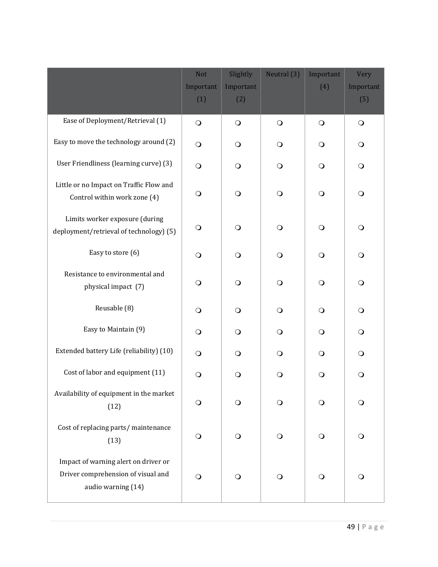|                                                                                                  | <b>Not</b> | Slightly   | Neutral (3) | Important  | <b>Very</b> |
|--------------------------------------------------------------------------------------------------|------------|------------|-------------|------------|-------------|
|                                                                                                  | Important  | Important  |             | (4)        | Important   |
|                                                                                                  | (1)        | (2)        |             |            | (5)         |
| Ease of Deployment/Retrieval (1)                                                                 | $\bigcirc$ | $\bigcirc$ | $\bigcirc$  | $\bigcirc$ | $\bigcirc$  |
| Easy to move the technology around (2)                                                           | $\bigcirc$ | $\circ$    | $\bigcirc$  | $\bigcirc$ | $\bigcirc$  |
| User Friendliness (learning curve) (3)                                                           | $\bigcirc$ | $\bigcirc$ | $\bigcirc$  | $\bigcirc$ | $\bigcirc$  |
| Little or no Impact on Traffic Flow and<br>Control within work zone (4)                          | $\bigcirc$ | $\bigcirc$ | $\circ$     | $\bigcirc$ | $\bigcirc$  |
| Limits worker exposure (during<br>deployment/retrieval of technology) (5)                        | $\circ$    | $\bigcirc$ | $\circ$     | $\bigcirc$ | $\circ$     |
| Easy to store (6)                                                                                | $\circ$    | $\bigcirc$ | $\bigcirc$  | $\bigcirc$ | $\circ$     |
| Resistance to environmental and<br>physical impact (7)                                           | $\circ$    | $\bigcirc$ | $\bigcirc$  | $\bigcirc$ | $\bigcirc$  |
| Reusable (8)                                                                                     | $\bigcirc$ | $\bigcirc$ | $\bigcirc$  | $\bigcirc$ | $\bigcirc$  |
| Easy to Maintain (9)                                                                             | $\bigcirc$ | $\bigcirc$ | $\bigcirc$  | $\bigcirc$ | $\bigcirc$  |
| Extended battery Life (reliability) (10)                                                         | $\circ$    | $\circ$    | $\circ$     | $\bigcirc$ | $\bigcirc$  |
| Cost of labor and equipment (11)                                                                 | $\bigcirc$ | $\circ$    | $\circ$     | $\bigcirc$ | $\circ$     |
| Availability of equipment in the market<br>(12)                                                  | $\circ$    | $\circ$    | $\circ$     | $\bigcirc$ | $\circ$     |
| Cost of replacing parts/ maintenance<br>(13)                                                     | $\bigcirc$ | $\bigcirc$ | $\bigcirc$  | $\bigcirc$ | $\bigcirc$  |
| Impact of warning alert on driver or<br>Driver comprehension of visual and<br>audio warning (14) | $\bigcirc$ | $\bigcirc$ | $\bigcirc$  | $\bigcirc$ | $\bigcirc$  |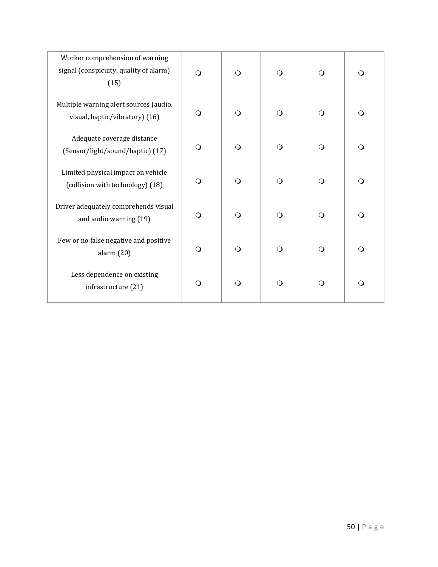| Worker comprehension of warning<br>signal (conspicuity, quality of alarm)<br>(15) | $\Omega$ | $\bigcirc$ | $\circ$  | $\bigcirc$ | $\Omega$   |
|-----------------------------------------------------------------------------------|----------|------------|----------|------------|------------|
| Multiple warning alert sources (audio,<br>visual, haptic/vibratory) (16)          | $\Omega$ | $\bigcirc$ | $\Omega$ | $\bigcirc$ | $\bigcirc$ |
| Adequate coverage distance<br>(Sensor/light/sound/haptic) (17)                    | $\Omega$ | $\bigcirc$ | $\Omega$ | $\bigcirc$ | $\Omega$   |
| Limited physical impact on vehicle<br>(collision with technology) (18)            | $\Omega$ | $\bigcirc$ | $\circ$  | $\bigcirc$ | $\circ$    |
| Driver adequately comprehends visual<br>and audio warning (19)                    | $\Omega$ | $\bigcirc$ | $\Omega$ | $\bigcirc$ | $\circ$    |
| Few or no false negative and positive<br>alarm(20)                                | $\circ$  | $\circ$    | $\circ$  | $\bigcirc$ | $\circ$    |
| Less dependence on existing<br>infrastructure (21)                                | $\Omega$ | $\bigcirc$ | $\circ$  | $\bigcirc$ | $\circ$    |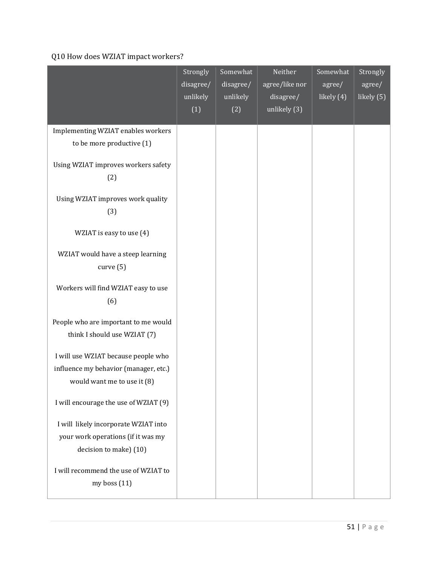## Q10 How does WZIAT impact workers?

|                                                                                                             | Strongly<br>disagree/<br>unlikely<br>(1) | Somewhat<br>disagree/<br>unlikely<br>(2) | Neither<br>agree/like nor<br>disagree/<br>unlikely $(3)$ | Somewhat<br>agree/<br>likely (4) | Strongly<br>agree/<br>likely (5) |
|-------------------------------------------------------------------------------------------------------------|------------------------------------------|------------------------------------------|----------------------------------------------------------|----------------------------------|----------------------------------|
| Implementing WZIAT enables workers<br>to be more productive (1)                                             |                                          |                                          |                                                          |                                  |                                  |
| Using WZIAT improves workers safety<br>(2)                                                                  |                                          |                                          |                                                          |                                  |                                  |
| Using WZIAT improves work quality<br>(3)                                                                    |                                          |                                          |                                                          |                                  |                                  |
| WZIAT is easy to use (4)                                                                                    |                                          |                                          |                                                          |                                  |                                  |
| WZIAT would have a steep learning<br>curve(5)                                                               |                                          |                                          |                                                          |                                  |                                  |
| Workers will find WZIAT easy to use<br>(6)                                                                  |                                          |                                          |                                                          |                                  |                                  |
| People who are important to me would<br>think I should use WZIAT (7)                                        |                                          |                                          |                                                          |                                  |                                  |
| I will use WZIAT because people who<br>influence my behavior (manager, etc.)<br>would want me to use it (8) |                                          |                                          |                                                          |                                  |                                  |
| I will encourage the use of WZIAT (9)                                                                       |                                          |                                          |                                                          |                                  |                                  |
| I will likely incorporate WZIAT into<br>your work operations (if it was my<br>decision to make) (10)        |                                          |                                          |                                                          |                                  |                                  |
| I will recommend the use of WZIAT to<br>my boss $(11)$                                                      |                                          |                                          |                                                          |                                  |                                  |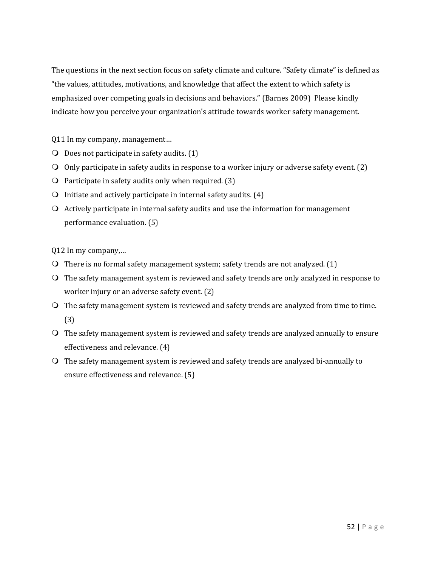The questions in the next section focus on safety climate and culture. "Safety climate" is defined as "the values, attitudes, motivations, and knowledge that affect the extent to which safety is emphasized over competing goals in decisions and behaviors." (Barnes 2009) Please kindly indicate how you perceive your organization's attitude towards worker safety management.

Q11 In my company, management...

- $\bigcirc$  Does not participate in safety audits. (1)
- O Only participate in safety audits in response to a worker injury or adverse safety event.  $(2)$
- $\Omega$  Participate in safety audits only when required. (3)
- $\Omega$  Initiate and actively participate in internal safety audits. (4)
- $\Omega$  Actively participate in internal safety audits and use the information for management performance evaluation. (5)

Q12 In my company,...

- $\overline{Q}$  There is no formal safety management system; safety trends are not analyzed. (1)
- $\bigcirc$  The safety management system is reviewed and safety trends are only analyzed in response to worker injury or an adverse safety event. (2)
- O The safety management system is reviewed and safety trends are analyzed from time to time. (3)
- $\bigcirc$  The safety management system is reviewed and safety trends are analyzed annually to ensure effectiveness and relevance. (4)
- $\bigcirc$  The safety management system is reviewed and safety trends are analyzed bi-annually to ensure effectiveness and relevance. (5)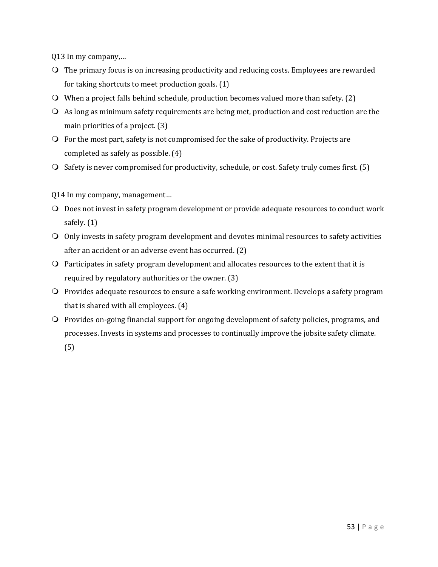Q13 In my company,...

- $\Omega$  The primary focus is on increasing productivity and reducing costs. Employees are rewarded for taking shortcuts to meet production goals.  $(1)$
- $\bigcirc$  When a project falls behind schedule, production becomes valued more than safety. (2)
- $\Omega$  As long as minimum safety requirements are being met, production and cost reduction are the main priorities of a project.  $(3)$
- $\overline{Q}$  For the most part, safety is not compromised for the sake of productivity. Projects are completed as safely as possible.  $(4)$
- $\Omega$  Safety is never compromised for productivity, schedule, or cost. Safety truly comes first. (5)
- Q14 In my company, management...
- O Does not invest in safety program development or provide adequate resources to conduct work safely.  $(1)$
- $\Omega$  Only invests in safety program development and devotes minimal resources to safety activities after an accident or an adverse event has occurred.  $(2)$
- $\overline{Q}$  Participates in safety program development and allocates resources to the extent that it is required by regulatory authorities or the owner.  $(3)$
- $\Omega$  Provides adequate resources to ensure a safe working environment. Develops a safety program that is shared with all employees.  $(4)$
- O Provides on-going financial support for ongoing development of safety policies, programs, and processes. Invests in systems and processes to continually improve the jobsite safety climate.

(5)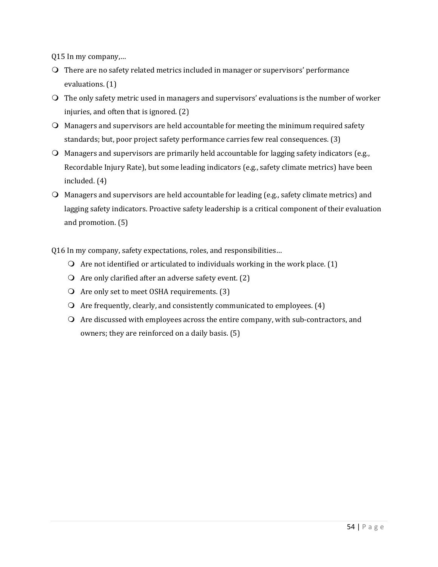Q15 In my company,...

- $\Omega$  There are no safety related metrics included in manager or supervisors' performance evaluations.  $(1)$
- $\Omega$  The only safety metric used in managers and supervisors' evaluations is the number of worker injuries, and often that is ignored.  $(2)$
- $\Omega$  Managers and supervisors are held accountable for meeting the minimum required safety standards; but, poor project safety performance carries few real consequences. (3)
- $\Omega$  Managers and supervisors are primarily held accountable for lagging safety indicators (e.g., Recordable Injury Rate), but some leading indicators (e.g., safety climate metrics) have been included. $(4)$
- $\bigcirc$  Managers and supervisors are held accountable for leading (e.g., safety climate metrics) and lagging safety indicators. Proactive safety leadership is a critical component of their evaluation and promotion.  $(5)$

Q16 In my company, safety expectations, roles, and responsibilities...

- $\overline{Q}$  Are not identified or articulated to individuals working in the work place. (1)
- $\Omega$  Are only clarified after an adverse safety event. (2)
- $\Omega$  Are only set to meet OSHA requirements. (3)
- $\Omega$  Are frequently, clearly, and consistently communicated to employees. (4)
- $\Omega$  Are discussed with employees across the entire company, with sub-contractors, and owners; they are reinforced on a daily basis. (5)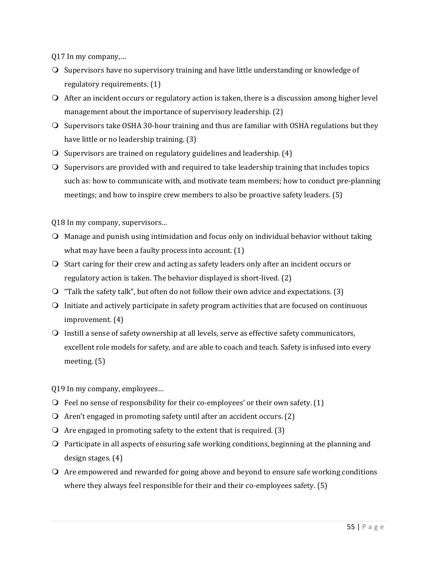Q17 In my company,...

- O Supervisors have no supervisory training and have little understanding or knowledge of regulatory requirements. (1)
- $\bigcirc$  After an incident occurs or regulatory action is taken, there is a discussion among higher level management about the importance of supervisory leadership.  $(2)$
- $\bigcirc$  Supervisors take OSHA 30-hour training and thus are familiar with OSHA regulations but they have little or no leadership training. (3)
- $\Omega$  Supervisors are trained on regulatory guidelines and leadership. (4)
- $\bigcirc$  Supervisors are provided with and required to take leadership training that includes topics such as: how to communicate with, and motivate team members; how to conduct pre-planning meetings; and how to inspire crew members to also be proactive safety leaders.  $(5)$

Q18 In my company, supervisors...

- $\bigcirc$  Manage and punish using intimidation and focus only on individual behavior without taking what may have been a faulty process into account.  $(1)$
- Start caring for their crew and acting as safety leaders only after an incident occurs or regulatory action is taken. The behavior displayed is short-lived. (2)
- $\bigcirc$  "Talk the safety talk", but often do not follow their own advice and expectations. (3)
- $\bigcirc$  Initiate and actively participate in safety program activities that are focused on continuous  $improvement. (4)$
- $\bigcirc$  Instill a sense of safety ownership at all levels, serve as effective safety communicators, excellent role models for safety, and are able to coach and teach. Safety is infused into every meeting.  $(5)$

Q19 In my company, employees...

- $\bigcirc$  Feel no sense of responsibility for their co-employees' or their own safety. (1)
- $\Omega$  Aren't engaged in promoting safety until after an accident occurs. (2)
- $\Omega$  Are engaged in promoting safety to the extent that is required. (3)
- $\bigcirc$  Participate in all aspects of ensuring safe working conditions, beginning at the planning and design stages.  $(4)$
- $\Omega$  Are empowered and rewarded for going above and beyond to ensure safe working conditions where they always feel responsible for their and their co-employees safety.  $(5)$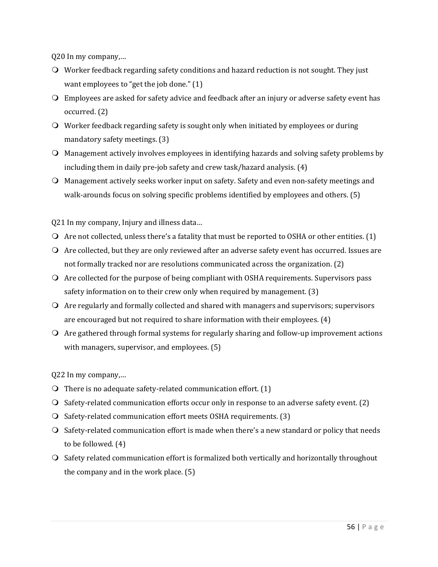Q20 In my company,...

- $\bigcirc$  Worker feedback regarding safety conditions and hazard reduction is not sought. They just want employees to "get the job done."  $(1)$
- $\bigcirc$  Employees are asked for safety advice and feedback after an injury or adverse safety event has occurred. (2)
- $\bigcirc$  Worker feedback regarding safety is sought only when initiated by employees or during mandatory safety meetings. (3)
- $\Omega$  Management actively involves employees in identifying hazards and solving safety problems by including them in daily pre-job safety and crew task/hazard analysis.  $(4)$
- Management actively seeks worker input on safety. Safety and even non-safety meetings and walk-arounds focus on solving specific problems identified by employees and others.  $(5)$

Q21 In my company, Injury and illness data...

- $\bigcirc$  Are not collected, unless there's a fatality that must be reported to OSHA or other entities. (1)
- $\Omega$  Are collected, but they are only reviewed after an adverse safety event has occurred. Issues are not formally tracked nor are resolutions communicated across the organization.  $(2)$
- $\bigcirc$  Are collected for the purpose of being compliant with OSHA requirements. Supervisors pass safety information on to their crew only when required by management.  $(3)$
- $\Omega$  Are regularly and formally collected and shared with managers and supervisors; supervisors are encouraged but not required to share information with their employees.  $(4)$
- $\Omega$  Are gathered through formal systems for regularly sharing and follow-up improvement actions with managers, supervisor, and employees.  $(5)$

Q22 In my company,...

- $\Omega$  There is no adequate safety-related communication effort. (1)
- $\bigcirc$  Safety-related communication efforts occur only in response to an adverse safety event. (2)
- $\Omega$  Safety-related communication effort meets OSHA requirements. (3)
- $\bigcirc$  Safety-related communication effort is made when there's a new standard or policy that needs to be followed.  $(4)$
- O Safety related communication effort is formalized both vertically and horizontally throughout the company and in the work place.  $(5)$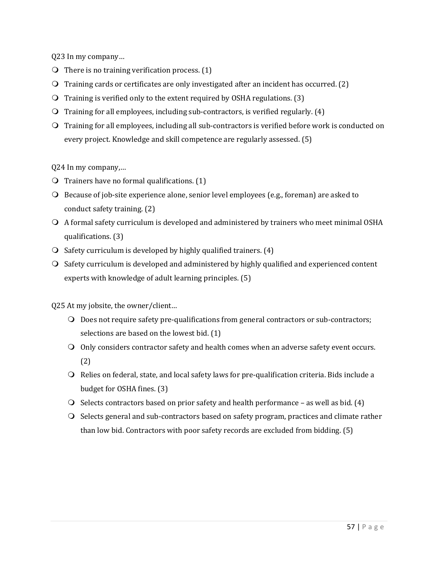Q23 In my company… 

- $\bigcirc$  There is no training verification process. (1)
- $\bigcirc$  Training cards or certificates are only investigated after an incident has occurred. (2)
- $\overline{O}$  Training is verified only to the extent required by OSHA regulations. (3)
- $\bigcirc$  Training for all employees, including sub-contractors, is verified regularly. (4)
- O Training for all employees, including all sub-contractors is verified before work is conducted on every project. Knowledge and skill competence are regularly assessed. (5)

Q24 In my company,...

- $\bigcirc$  Trainers have no formal qualifications. (1)
- $\bigcirc$  Because of job-site experience alone, senior level employees (e.g., foreman) are asked to conduct safety training. (2)
- $\bigcirc$  A formal safety curriculum is developed and administered by trainers who meet minimal OSHA qualifications. (3)
- $\Omega$  Safety curriculum is developed by highly qualified trainers. (4)
- $\overline{O}$  Safety curriculum is developed and administered by highly qualified and experienced content experts with knowledge of adult learning principles. (5)

Q25 At my jobsite, the owner/client...

- $\bigcirc$  Does not require safety pre-qualifications from general contractors or sub-contractors; selections are based on the lowest bid.  $(1)$
- $\bigcirc$  Only considers contractor safety and health comes when an adverse safety event occurs. (2)
- O Relies on federal, state, and local safety laws for pre-qualification criteria. Bids include a budget for OSHA fines. (3)
- $\bigcirc$  Selects contractors based on prior safety and health performance as well as bid. (4)
- $\bigcirc$  Selects general and sub-contractors based on safety program, practices and climate rather than low bid. Contractors with poor safety records are excluded from bidding.  $(5)$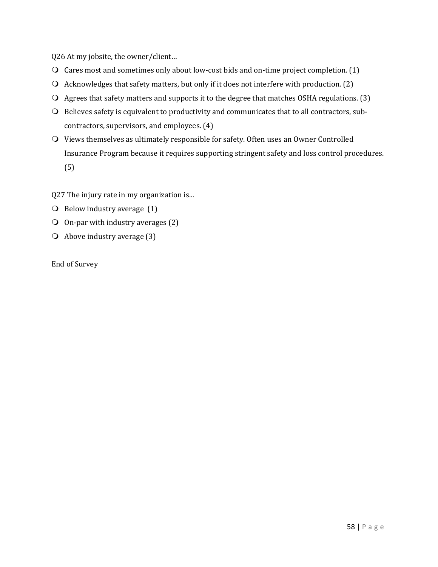Q26 At my jobsite, the owner/client...

- $\bigcirc$  Cares most and sometimes only about low-cost bids and on-time project completion. (1)
- $\Omega$  Acknowledges that safety matters, but only if it does not interfere with production. (2)
- $\Omega$  Agrees that safety matters and supports it to the degree that matches OSHA regulations. (3)
- O Believes safety is equivalent to productivity and communicates that to all contractors, subcontractors, supervisors, and employees. (4)
- $\Omega$  Views themselves as ultimately responsible for safety. Often uses an Owner Controlled Insurance Program because it requires supporting stringent safety and loss control procedures. (5)

Q27 The injury rate in my organization is...

- $\bigcirc$  Below industry average (1)
- $\overline{O}$  On-par with industry averages (2)
- $\overline{Q}$  Above industry average (3)

End of Survey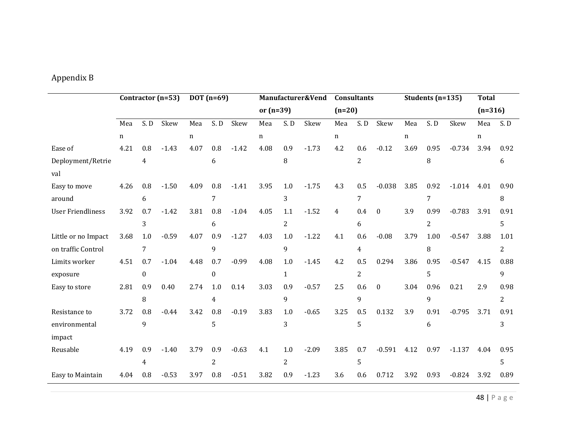## Appendix B

|                          | Contractor (n=53) |              |         | $DOT(n=69)$ |                  |         | Manufacturer&Vend |                |         | <b>Consultants</b> |                |          | Students (n=135) |                |          | <b>Total</b> |                |
|--------------------------|-------------------|--------------|---------|-------------|------------------|---------|-------------------|----------------|---------|--------------------|----------------|----------|------------------|----------------|----------|--------------|----------------|
|                          |                   |              |         |             |                  |         | or $(n=39)$       |                |         | $(n=20)$           |                |          |                  |                |          | $(n=316)$    |                |
|                          | Mea               | S.D          | Skew    | Mea         | S.D              | Skew    | Mea               | S.D            | Skew    | Mea                | S.D            | Skew     | Mea              | S.D            | Skew     | Mea          | S.D            |
|                          | n                 |              |         | n           |                  |         | n                 |                |         | n                  |                |          | n                |                |          | n            |                |
| Ease of                  | 4.21              | 0.8          | $-1.43$ | 4.07        | 0.8              | $-1.42$ | 4.08              | 0.9            | $-1.73$ | 4.2                | 0.6            | $-0.12$  | 3.69             | 0.95           | $-0.734$ | 3.94         | 0.92           |
| Deployment/Retrie        |                   | 4            |         |             | 6                |         |                   | 8              |         |                    | $\overline{2}$ |          |                  | 8              |          |              | 6              |
| val                      |                   |              |         |             |                  |         |                   |                |         |                    |                |          |                  |                |          |              |                |
| Easy to move             | 4.26              | 0.8          | $-1.50$ | 4.09        | 0.8              | $-1.41$ | 3.95              | 1.0            | $-1.75$ | 4.3                | 0.5            | $-0.038$ | 3.85             | 0.92           | $-1.014$ | 4.01         | 0.90           |
| around                   |                   | 6            |         |             | 7                |         |                   | 3              |         |                    | 7              |          |                  | 7              |          |              | 8              |
| <b>User Friendliness</b> | 3.92              | 0.7          | $-1.42$ | 3.81        | 0.8              | $-1.04$ | 4.05              | 1.1            | $-1.52$ | 4                  | 0.4            | $\Omega$ | 3.9              | 0.99           | $-0.783$ | 3.91         | 0.91           |
|                          |                   | 3            |         |             | 6                |         |                   | $\overline{2}$ |         |                    | 6              |          |                  | $\overline{2}$ |          |              | 5              |
| Little or no Impact      | 3.68              | 1.0          | $-0.59$ | 4.07        | 0.9              | $-1.27$ | 4.03              | 1.0            | $-1.22$ | 4.1                | 0.6            | $-0.08$  | 3.79             | 1.00           | $-0.547$ | 3.88         | 1.01           |
| on traffic Control       |                   | 7            |         |             | 9                |         |                   | 9              |         |                    | 4              |          |                  | 8              |          |              | $\overline{c}$ |
| Limits worker            | 4.51              | 0.7          | $-1.04$ | 4.48        | 0.7              | $-0.99$ | 4.08              | 1.0            | $-1.45$ | 4.2                | 0.5            | 0.294    | 3.86             | 0.95           | $-0.547$ | 4.15         | 0.88           |
| exposure                 |                   | $\mathbf{0}$ |         |             | $\boldsymbol{0}$ |         |                   | $\mathbf{1}$   |         |                    | $\overline{2}$ |          |                  | 5              |          |              | 9              |
| Easy to store            | 2.81              | 0.9          | 0.40    | 2.74        | 1.0              | 0.14    | 3.03              | 0.9            | $-0.57$ | 2.5                | 0.6            | $\Omega$ | 3.04             | 0.96           | 0.21     | 2.9          | 0.98           |
|                          |                   | 8            |         |             | $\overline{4}$   |         |                   | 9              |         |                    | 9              |          |                  | 9              |          |              | $\overline{2}$ |
| Resistance to            | 3.72              | 0.8          | $-0.44$ | 3.42        | 0.8              | $-0.19$ | 3.83              | 1.0            | $-0.65$ | 3.25               | 0.5            | 0.132    | 3.9              | 0.91           | $-0.795$ | 3.71         | 0.91           |
| environmental            |                   | 9            |         |             | 5                |         |                   | 3              |         |                    | 5              |          |                  | 6              |          |              | 3              |
| impact                   |                   |              |         |             |                  |         |                   |                |         |                    |                |          |                  |                |          |              |                |
| Reusable                 | 4.19              | 0.9          | $-1.40$ | 3.79        | 0.9              | $-0.63$ | 4.1               | 1.0            | $-2.09$ | 3.85               | 0.7            | $-0.591$ | 4.12             | 0.97           | $-1.137$ | 4.04         | 0.95           |
|                          |                   | 4            |         |             | 2                |         |                   | 2              |         |                    | 5              |          |                  |                |          |              | 5              |
| Easy to Maintain         | 4.04              | 0.8          | $-0.53$ | 3.97        | 0.8              | $-0.51$ | 3.82              | 0.9            | $-1.23$ | 3.6                | 0.6            | 0.712    | 3.92             | 0.93           | $-0.824$ | 3.92         | 0.89           |

48 | Page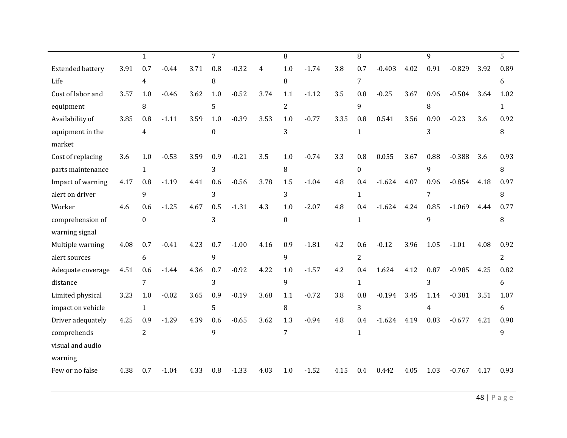|                         |      | 1              |         |      | 7        |         |      | 8              |         |      | 8              |          |      | 9              |          |      | 5              |
|-------------------------|------|----------------|---------|------|----------|---------|------|----------------|---------|------|----------------|----------|------|----------------|----------|------|----------------|
| <b>Extended battery</b> | 3.91 | 0.7            | $-0.44$ | 3.71 | 0.8      | $-0.32$ | 4    | 1.0            | $-1.74$ | 3.8  | 0.7            | $-0.403$ | 4.02 | 0.91           | $-0.829$ | 3.92 | 0.89           |
| Life                    |      | 4              |         |      | 8        |         |      | 8              |         |      | 7              |          |      |                |          |      | 6              |
| Cost of labor and       | 3.57 | 1.0            | $-0.46$ | 3.62 | 1.0      | $-0.52$ | 3.74 | 1.1            | $-1.12$ | 3.5  | 0.8            | $-0.25$  | 3.67 | 0.96           | $-0.504$ | 3.64 | 1.02           |
| equipment               |      | 8              |         |      | 5        |         |      | $\overline{2}$ |         |      | 9              |          |      | 8              |          |      | 1              |
| Availability of         | 3.85 | 0.8            | $-1.11$ | 3.59 | 1.0      | $-0.39$ | 3.53 | 1.0            | $-0.77$ | 3.35 | 0.8            | 0.541    | 3.56 | 0.90           | $-0.23$  | 3.6  | 0.92           |
| equipment in the        |      | $\overline{4}$ |         |      | $\Omega$ |         |      | 3              |         |      | $\mathbf{1}$   |          |      | 3              |          |      | 8              |
| market                  |      |                |         |      |          |         |      |                |         |      |                |          |      |                |          |      |                |
| Cost of replacing       | 3.6  | 1.0            | $-0.53$ | 3.59 | 0.9      | $-0.21$ | 3.5  | 1.0            | $-0.74$ | 3.3  | 0.8            | 0.055    | 3.67 | 0.88           | $-0.388$ | 3.6  | 0.93           |
| parts maintenance       |      | $\mathbf{1}$   |         |      | 3        |         |      | 8              |         |      | $\overline{0}$ |          |      | 9              |          |      | 8              |
| Impact of warning       | 4.17 | 0.8            | $-1.19$ | 4.41 | 0.6      | $-0.56$ | 3.78 | 1.5            | $-1.04$ | 4.8  | 0.4            | $-1.624$ | 4.07 | 0.96           | $-0.854$ | 4.18 | 0.97           |
| alert on driver         |      | 9              |         |      | 3        |         |      | 3              |         |      | $\mathbf{1}$   |          |      | $\overline{7}$ |          |      | 8              |
| Worker                  | 4.6  | 0.6            | $-1.25$ | 4.67 | 0.5      | $-1.31$ | 4.3  | 1.0            | $-2.07$ | 4.8  | 0.4            | $-1.624$ | 4.24 | 0.85           | $-1.069$ | 4.44 | 0.77           |
| comprehension of        |      | $\mathbf{0}$   |         |      | 3        |         |      | $\Omega$       |         |      | $\mathbf{1}$   |          |      | 9              |          |      | 8              |
| warning signal          |      |                |         |      |          |         |      |                |         |      |                |          |      |                |          |      |                |
| Multiple warning        | 4.08 | 0.7            | $-0.41$ | 4.23 | 0.7      | $-1.00$ | 4.16 | 0.9            | $-1.81$ | 4.2  | 0.6            | $-0.12$  | 3.96 | 1.05           | $-1.01$  | 4.08 | 0.92           |
| alert sources           |      | 6              |         |      | 9        |         |      | 9              |         |      | $\overline{2}$ |          |      |                |          |      | $\overline{2}$ |
| Adequate coverage       | 4.51 | 0.6            | $-1.44$ | 4.36 | 0.7      | $-0.92$ | 4.22 | 1.0            | $-1.57$ | 4.2  | 0.4            | 1.624    | 4.12 | 0.87           | $-0.985$ | 4.25 | 0.82           |
| distance                |      | $\overline{7}$ |         |      | 3        |         |      | 9              |         |      | $\mathbf{1}$   |          |      | 3              |          |      | 6              |
| Limited physical        | 3.23 | 1.0            | $-0.02$ | 3.65 | 0.9      | $-0.19$ | 3.68 | 1.1            | $-0.72$ | 3.8  | 0.8            | $-0.194$ | 3.45 | 1.14           | $-0.381$ | 3.51 | 1.07           |
| impact on vehicle       |      | $\mathbf{1}$   |         |      | 5        |         |      | 8              |         |      | 3              |          |      | 4              |          |      | 6              |
| Driver adequately       | 4.25 | 0.9            | $-1.29$ | 4.39 | 0.6      | $-0.65$ | 3.62 | 1.3            | $-0.94$ | 4.8  | 0.4            | $-1.624$ | 4.19 | 0.83           | $-0.677$ | 4.21 | 0.90           |
| comprehends             |      | $\overline{2}$ |         |      | 9        |         |      | 7              |         |      | $\mathbf{1}$   |          |      |                |          |      | 9              |
| visual and audio        |      |                |         |      |          |         |      |                |         |      |                |          |      |                |          |      |                |
| warning                 |      |                |         |      |          |         |      |                |         |      |                |          |      |                |          |      |                |
| Few or no false         | 4.38 | 0.7            | $-1.04$ | 4.33 | 0.8      | $-1.33$ | 4.03 | 1.0            | $-1.52$ | 4.15 | 0.4            | 0.442    | 4.05 | 1.03           | $-0.767$ | 4.17 | 0.93           |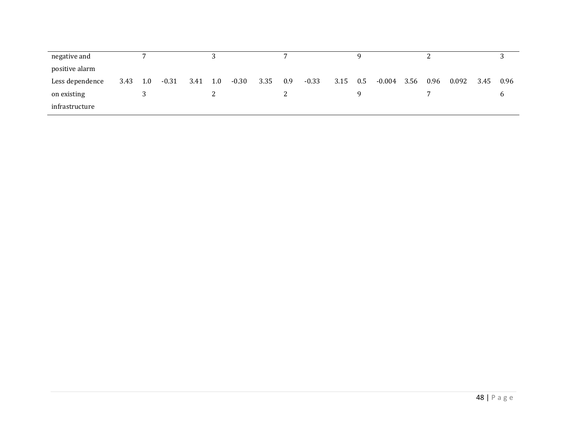| negative and    |      |     |         |      |     |         |      |     |         |      |         |          |      |      |       |      |      |
|-----------------|------|-----|---------|------|-----|---------|------|-----|---------|------|---------|----------|------|------|-------|------|------|
| positive alarm  |      |     |         |      |     |         |      |     |         |      |         |          |      |      |       |      |      |
| Less dependence | 3.43 | 1.0 | $-0.31$ | 3.41 | 1.0 | $-0.30$ | 3.35 | 0.9 | $-0.33$ | 3.15 | $0.5\,$ | $-0.004$ | 3.56 | 0.96 | 0.092 | 3.45 | 0.96 |
| on existing     |      |     |         |      |     |         |      |     |         |      |         |          |      |      |       |      |      |
| infrastructure  |      |     |         |      |     |         |      |     |         |      |         |          |      |      |       |      |      |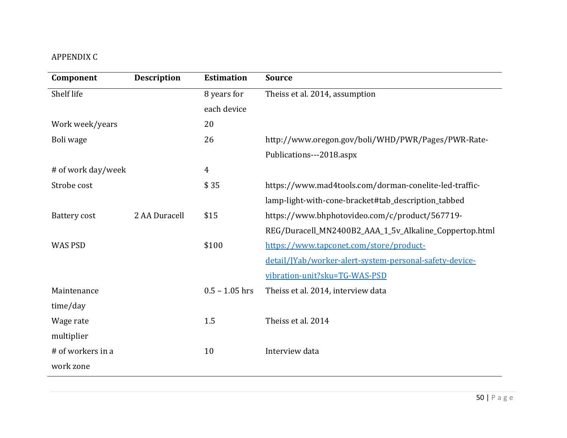## APPENDIX C

| Component           | <b>Description</b> | <b>Estimation</b> | <b>Source</b>                                           |
|---------------------|--------------------|-------------------|---------------------------------------------------------|
| Shelf life          |                    | 8 years for       | Theiss et al. 2014, assumption                          |
|                     |                    | each device       |                                                         |
| Work week/years     |                    | 20                |                                                         |
| Boli wage           |                    | 26                | http://www.oregon.gov/boli/WHD/PWR/Pages/PWR-Rate-      |
|                     |                    |                   | Publications---2018.aspx                                |
| # of work day/week  |                    | 4                 |                                                         |
| Strobe cost         |                    | \$35              | https://www.mad4tools.com/dorman-conelite-led-traffic-  |
|                     |                    |                   | lamp-light-with-cone-bracket#tab_description_tabbed     |
| <b>Battery cost</b> | 2 AA Duracell      | \$15              | https://www.bhphotovideo.com/c/product/567719-          |
|                     |                    |                   | REG/Duracell_MN2400B2_AAA_1_5v_Alkaline_Coppertop.html  |
| <b>WAS PSD</b>      |                    | \$100             | https://www.tapconet.com/store/product-                 |
|                     |                    |                   | detail/JYab/worker-alert-system-personal-safety-device- |
|                     |                    |                   | vibration-unit?sku=TG-WAS-PSD                           |
| Maintenance         |                    | $0.5 - 1.05$ hrs  | Theiss et al. 2014, interview data                      |
| time/day            |                    |                   |                                                         |
| Wage rate           |                    | 1.5               | Theiss et al. 2014                                      |
| multiplier          |                    |                   |                                                         |
| # of workers in a   |                    | 10                | Interview data                                          |
| work zone           |                    |                   |                                                         |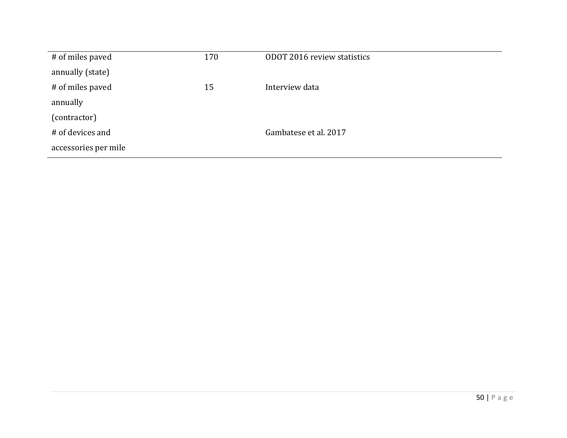| # of miles paved     | 170 | ODOT 2016 review statistics |
|----------------------|-----|-----------------------------|
| annually (state)     |     |                             |
| # of miles paved     | 15  | Interview data              |
| annually             |     |                             |
| (contractor)         |     |                             |
| # of devices and     |     | Gambatese et al. 2017       |
| accessories per mile |     |                             |
|                      |     |                             |